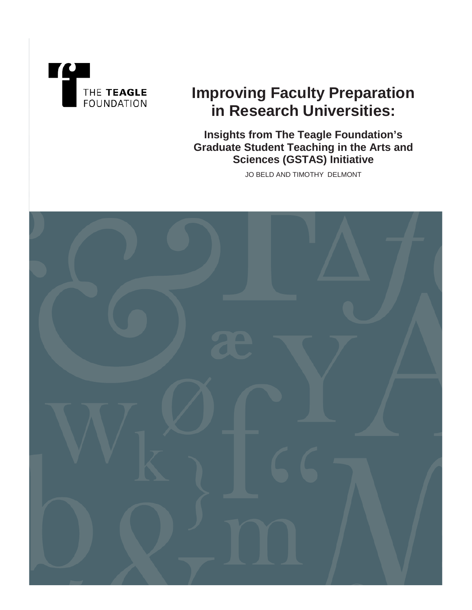

## **Improving Faculty Preparation in Research Universities:**

**Insights from The Teagle Foundation's Graduate Student Teaching in the Arts and Sciences (GSTAS) Initiative**

JO BELD AND TIMOTHY DELMONT

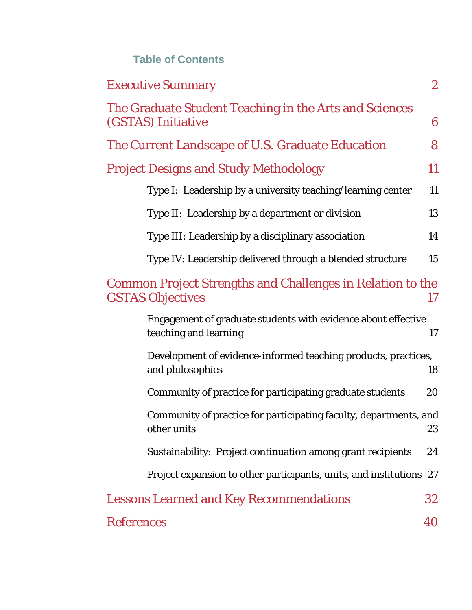## **Table of Contents**

| $\overline{2}$<br><b>Executive Summary</b>                                                         |  |  |
|----------------------------------------------------------------------------------------------------|--|--|
| The Graduate Student Teaching in the Arts and Sciences<br>(GSTAS) Initiative<br>6                  |  |  |
| 8<br>The Current Landscape of U.S. Graduate Education                                              |  |  |
| <b>Project Designs and Study Methodology</b><br>11                                                 |  |  |
| Type I: Leadership by a university teaching/learning center<br>11                                  |  |  |
| 13<br>Type II: Leadership by a department or division                                              |  |  |
| Type III: Leadership by a disciplinary association<br>14                                           |  |  |
| Type IV: Leadership delivered through a blended structure<br>15                                    |  |  |
| <b>Common Project Strengths and Challenges in Relation to the</b><br><b>GSTAS Objectives</b><br>17 |  |  |
| Engagement of graduate students with evidence about effective<br>teaching and learning<br>17       |  |  |
| Development of evidence-informed teaching products, practices,<br>and philosophies<br>18           |  |  |
| Community of practice for participating graduate students<br>20                                    |  |  |
| Community of practice for participating faculty, departments, and<br>other units<br>23             |  |  |
| Sustainability: Project continuation among grant recipients<br>24                                  |  |  |
| Project expansion to other participants, units, and institutions 27                                |  |  |
| <b>Lessons Learned and Key Recommendations</b><br>32                                               |  |  |
| <b>References</b><br>40                                                                            |  |  |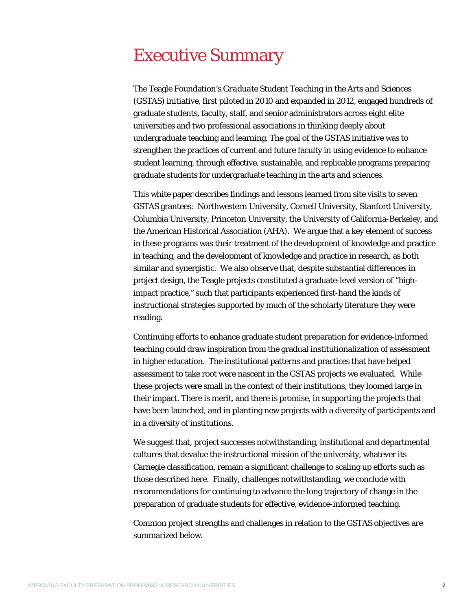## Executive Summary

The Teagle Foundation's *Graduate Student Teaching in the Arts and Sciences* (GSTAS) initiative, first piloted in 2010 and expanded in 2012, engaged hundreds of graduate students, faculty, staff, and senior administrators across eight elite universities and two professional associations in thinking deeply about undergraduate teaching and learning. The goal of the GSTAS initiative was to strengthen the practices of current and future faculty in using evidence to enhance student learning, through effective, sustainable, and replicable programs preparing graduate students for undergraduate teaching in the arts and sciences.

This white paper describes findings and lessons learned from site visits to seven GSTAS grantees: Northwestern University, Cornell University, Stanford University, Columbia University, Princeton University, the University of California-Berkeley, and the American Historical Association (AHA). We argue that a key element of success in these programs was their treatment of the development of knowledge and practice in teaching, and the development of knowledge and practice in research, as both similar and synergistic. We also observe that, despite substantial differences in project design, the Teagle projects constituted a graduate-level version of "highimpact practice," such that participants experienced first-hand the kinds of instructional strategies supported by much of the scholarly literature they were reading.

Continuing efforts to enhance graduate student preparation for evidence-informed teaching could draw inspiration from the gradual institutionalization of assessment in higher education. The institutional patterns and practices that have helped assessment to take root were nascent in the GSTAS projects we evaluated. While these projects were small in the context of their institutions, they loomed large in their impact. There is merit, and there is promise, in supporting the projects that have been launched, and in planting new projects with a diversity of participants and in a diversity of institutions.

We suggest that, project successes notwithstanding, institutional and departmental cultures that devalue the instructional mission of the university, whatever its Carnegie classification, remain a significant challenge to scaling up efforts such as those described here. Finally, challenges notwithstanding, we conclude with recommendations for continuing to advance the long trajectory of change in the preparation of graduate students for effective, evidence-informed teaching.

Common project strengths and challenges in relation to the GSTAS objectives are summarized below.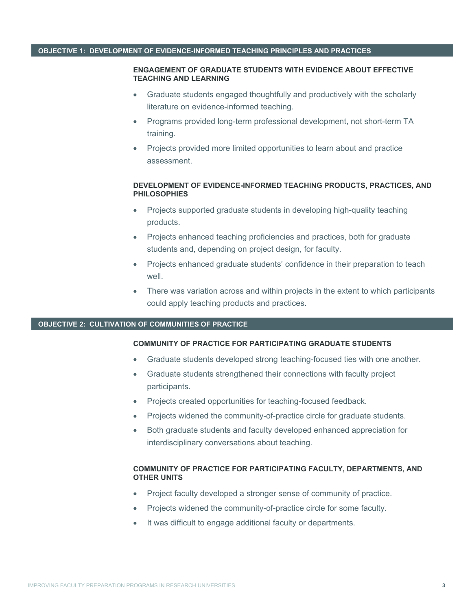#### **OBJECTIVE 1: DEVELOPMENT OF EVIDENCE-INFORMED TEACHING PRINCIPLES AND PRACTICES**

## **ENGAGEMENT OF GRADUATE STUDENTS WITH EVIDENCE ABOUT EFFECTIVE TEACHING AND LEARNING**

- Graduate students engaged thoughtfully and productively with the scholarly literature on evidence-informed teaching.
- Programs provided long-term professional development, not short-term TA training.
- Projects provided more limited opportunities to learn about and practice assessment.

## **DEVELOPMENT OF EVIDENCE-INFORMED TEACHING PRODUCTS, PRACTICES, AND PHILOSOPHIES**

- Projects supported graduate students in developing high-quality teaching products.
- Projects enhanced teaching proficiencies and practices, both for graduate students and, depending on project design, for faculty.
- Projects enhanced graduate students' confidence in their preparation to teach well.
- There was variation across and within projects in the extent to which participants could apply teaching products and practices.

#### **OBJECTIVE 2: CULTIVATION OF COMMUNITIES OF PRACTICE**

## **COMMUNITY OF PRACTICE FOR PARTICIPATING GRADUATE STUDENTS**

- Graduate students developed strong teaching-focused ties with one another.
- Graduate students strengthened their connections with faculty project participants.
- Projects created opportunities for teaching-focused feedback.
- Projects widened the community-of-practice circle for graduate students.
- Both graduate students and faculty developed enhanced appreciation for interdisciplinary conversations about teaching.

## **COMMUNITY OF PRACTICE FOR PARTICIPATING FACULTY, DEPARTMENTS, AND OTHER UNITS**

- Project faculty developed a stronger sense of community of practice.
- Projects widened the community-of-practice circle for some faculty.
- It was difficult to engage additional faculty or departments.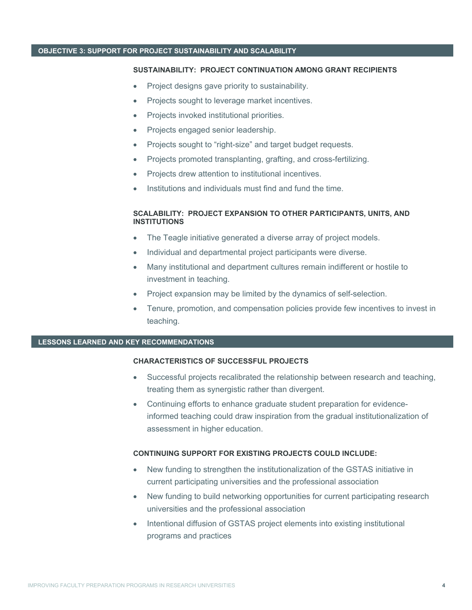#### **OBJECTIVE 3: SUPPORT FOR PROJECT SUSTAINABILITY AND SCALABILITY**

### **SUSTAINABILITY: PROJECT CONTINUATION AMONG GRANT RECIPIENTS**

- Project designs gave priority to sustainability.
- Projects sought to leverage market incentives.
- Projects invoked institutional priorities.
- Projects engaged senior leadership.
- Projects sought to "right-size" and target budget requests.
- Projects promoted transplanting, grafting, and cross-fertilizing.
- Projects drew attention to institutional incentives.
- Institutions and individuals must find and fund the time.

## **SCALABILITY: PROJECT EXPANSION TO OTHER PARTICIPANTS, UNITS, AND INSTITUTIONS**

- The Teagle initiative generated a diverse array of project models.
- Individual and departmental project participants were diverse.
- Many institutional and department cultures remain indifferent or hostile to investment in teaching.
- Project expansion may be limited by the dynamics of self-selection.
- Tenure, promotion, and compensation policies provide few incentives to invest in teaching.

### **LESSONS LEARNED AND KEY RECOMMENDATIONS**

## **CHARACTERISTICS OF SUCCESSFUL PROJECTS**

- Successful projects recalibrated the relationship between research and teaching, treating them as synergistic rather than divergent.
- Continuing efforts to enhance graduate student preparation for evidenceinformed teaching could draw inspiration from the gradual institutionalization of assessment in higher education.

## **CONTINUING SUPPORT FOR EXISTING PROJECTS COULD INCLUDE:**

- New funding to strengthen the institutionalization of the GSTAS initiative in current participating universities and the professional association
- New funding to build networking opportunities for current participating research universities and the professional association
- Intentional diffusion of GSTAS project elements into existing institutional programs and practices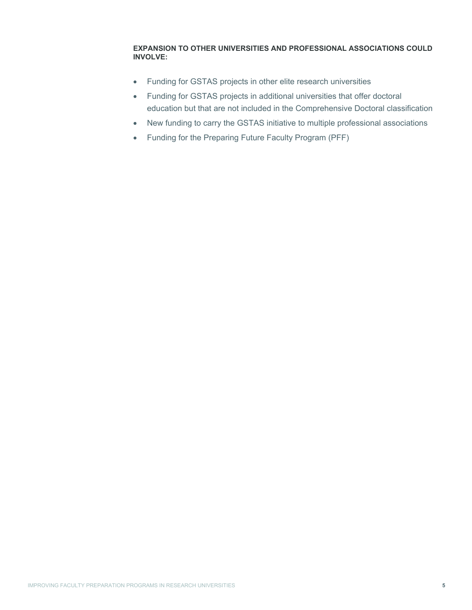## **EXPANSION TO OTHER UNIVERSITIES AND PROFESSIONAL ASSOCIATIONS COULD INVOLVE:**

- Funding for GSTAS projects in other elite research universities
- Funding for GSTAS projects in additional universities that offer doctoral education but that are not included in the Comprehensive Doctoral classification
- New funding to carry the GSTAS initiative to multiple professional associations
- Funding for the Preparing Future Faculty Program (PFF)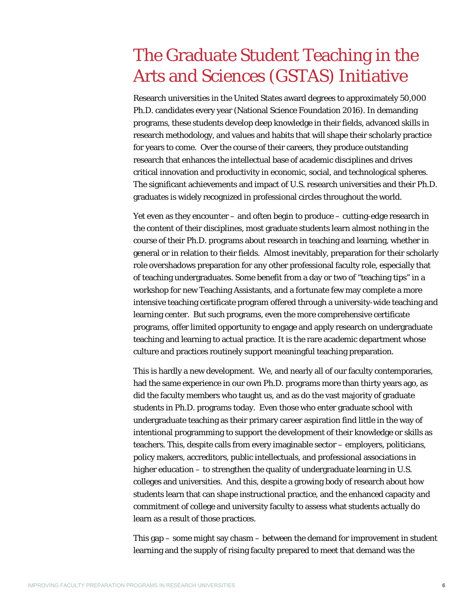# The Graduate Student Teaching in the Arts and Sciences (GSTAS) Initiative

Research universities in the United States award degrees to approximately 50,000 Ph.D. candidates every year (National Science Foundation 2016). In demanding programs, these students develop deep knowledge in their fields, advanced skills in research methodology, and values and habits that will shape their scholarly practice for years to come. Over the course of their careers, they produce outstanding research that enhances the intellectual base of academic disciplines and drives critical innovation and productivity in economic, social, and technological spheres. The significant achievements and impact of U.S. research universities and their Ph.D. graduates is widely recognized in professional circles throughout the world.

Yet even as they encounter – and often begin to produce – cutting-edge research in the content of their disciplines, most graduate students learn almost nothing in the course of their Ph.D. programs about research in teaching and learning, whether in general or in relation to their fields. Almost inevitably, preparation for their scholarly role overshadows preparation for any other professional faculty role, especially that of teaching undergraduates. Some benefit from a day or two of "teaching tips" in a workshop for new Teaching Assistants, and a fortunate few may complete a more intensive teaching certificate program offered through a university-wide teaching and learning center. But such programs, even the more comprehensive certificate programs, offer limited opportunity to engage and apply research on undergraduate teaching and learning to actual practice. It is the rare academic department whose culture and practices routinely support meaningful teaching preparation.

This is hardly a new development. We, and nearly all of our faculty contemporaries, had the same experience in our own Ph.D. programs more than thirty years ago, as did the faculty members who taught us, and as do the vast majority of graduate students in Ph.D. programs today. Even those who enter graduate school with undergraduate teaching as their primary career aspiration find little in the way of intentional programming to support the development of their knowledge or skills as teachers. This, despite calls from every imaginable sector – employers, politicians, policy makers, accreditors, public intellectuals, and professional associations in higher education – to strengthen the quality of undergraduate learning in U.S. colleges and universities. And this, despite a growing body of research about how students learn that can shape instructional practice, and the enhanced capacity and commitment of college and university faculty to assess what students actually *do* learn as a result of those practices.

This gap – some might say chasm – between the demand for improvement in student learning and the supply of rising faculty prepared to meet that demand was the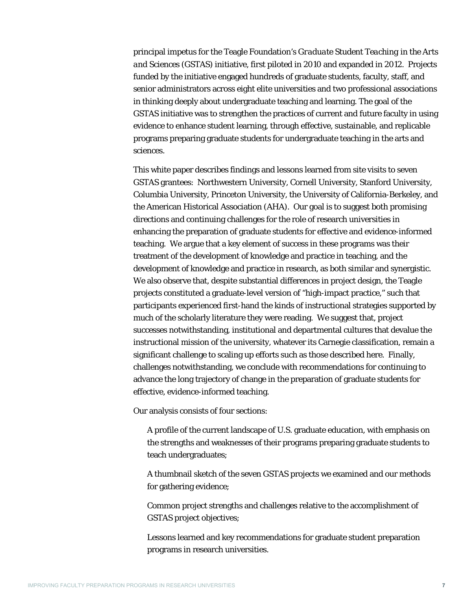principal impetus for the Teagle Foundation's *Graduate Student Teaching in the Arts and Sciences* (GSTAS) initiative, first piloted in 2010 and expanded in 2012. Projects funded by the initiative engaged hundreds of graduate students, faculty, staff, and senior administrators across eight elite universities and two professional associations in thinking deeply about undergraduate teaching and learning. The goal of the GSTAS initiative was to strengthen the practices of current and future faculty in using evidence to enhance student learning, through effective, sustainable, and replicable programs preparing graduate students for undergraduate teaching in the arts and sciences.

This white paper describes findings and lessons learned from site visits to seven GSTAS grantees: Northwestern University, Cornell University, Stanford University, Columbia University, Princeton University, the University of California-Berkeley, and the American Historical Association (AHA). Our goal is to suggest both promising directions and continuing challenges for the role of research universities in enhancing the preparation of graduate students for effective and evidence-informed teaching. We argue that a key element of success in these programs was their treatment of the development of knowledge and practice in teaching, and the development of knowledge and practice in research, as both similar and synergistic. We also observe that, despite substantial differences in project design, the Teagle projects constituted a graduate-level version of "high-impact practice," such that participants experienced first-hand the kinds of instructional strategies supported by much of the scholarly literature they were reading. We suggest that, project successes notwithstanding, institutional and departmental cultures that devalue the instructional mission of the university, whatever its Carnegie classification, remain a significant challenge to scaling up efforts such as those described here. Finally, challenges notwithstanding, we conclude with recommendations for continuing to advance the long trajectory of change in the preparation of graduate students for effective, evidence-informed teaching.

Our analysis consists of four sections:

A profile of the current landscape of U.S. graduate education, with emphasis on the strengths and weaknesses of their programs preparing graduate students to teach undergraduates;

A thumbnail sketch of the seven GSTAS projects we examined and our methods for gathering evidence;

Common project strengths and challenges relative to the accomplishment of GSTAS project objectives;

Lessons learned and key recommendations for graduate student preparation programs in research universities.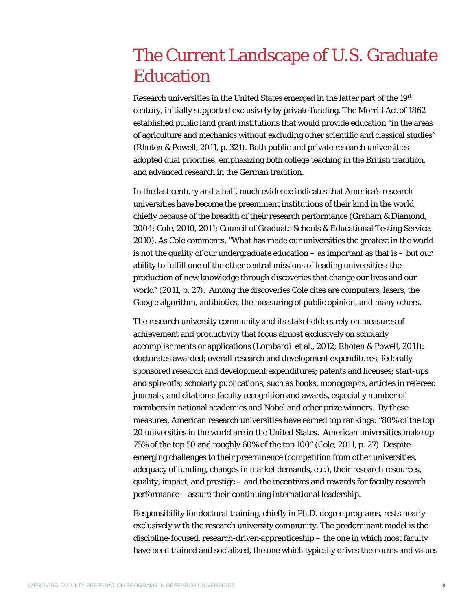# The Current Landscape of U.S. Graduate Education

Research universities in the United States emerged in the latter part of the 19<sup>th</sup> century, initially supported exclusively by private funding. The Morrill Act of 1862 established public land grant institutions that would provide education "in the areas of agriculture and mechanics without excluding other scientific and classical studies" (Rhoten & Powell, 2011, p. 321). Both public and private research universities adopted dual priorities, emphasizing both college teaching in the British tradition, and advanced research in the German tradition.

In the last century and a half, much evidence indicates that America's research universities have become the preeminent institutions of their kind in the world, chiefly because of the breadth of their research performance (Graham & Diamond, 2004; Cole, 2010, 2011; Council of Graduate Schools & Educational Testing Service, 2010). As Cole comments, "What has made our universities the greatest in the world is not the quality of our undergraduate education – as important as that is – but our ability to fulfill one of the other central missions of leading universities: the production of new knowledge through discoveries that change our lives and our world" (2011, p. 27). Among the discoveries Cole cites are computers, lasers, the Google algorithm, antibiotics, the measuring of public opinion, and many others.

The research university community and its stakeholders rely on measures of achievement and productivity that focus almost exclusively on scholarly accomplishments or applications (Lombardi et al., 2012; Rhoten & Powell, 2011): doctorates awarded; overall research and development expenditures; federallysponsored research and development expenditures; patents and licenses; start-ups and spin-offs; scholarly publications, such as books, monographs, articles in refereed journals, and citations; faculty recognition and awards, especially number of members in national academies and Nobel and other prize winners. By these measures, American research universities have earned top rankings: "80% of the top 20 universities in the world are in the United States. American universities make up 75% of the top 50 and roughly 60% of the top 100" (Cole, 2011, p. 27). Despite emerging challenges to their preeminence (competition from other universities, adequacy of funding, changes in market demands, etc.), their research resources, quality, impact, and prestige – and the incentives and rewards for faculty research performance – assure their continuing international leadership.

Responsibility for doctoral training, chiefly in Ph.D. degree programs, rests nearly exclusively with the research university community. The predominant model is the discipline-focused, research-driven apprenticeship – the one in which most faculty have been trained and socialized, the one which typically drives the norms and values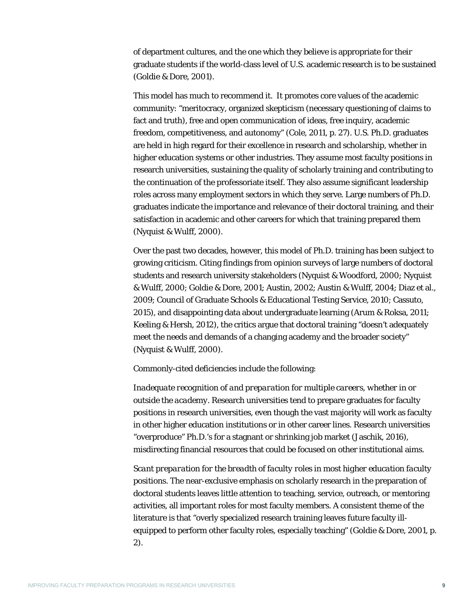of department cultures, and the one which they believe is appropriate for their graduate students if the world-class level of U.S. academic research is to be sustained (Goldie & Dore, 2001).

This model has much to recommend it. It promotes core values of the academic community: "meritocracy, organized skepticism (necessary questioning of claims to fact and truth), free and open communication of ideas, free inquiry, academic freedom, competitiveness, and autonomy" (Cole, 2011, p. 27). U.S. Ph.D. graduates are held in high regard for their excellence in research and scholarship, whether in higher education systems or other industries. They assume most faculty positions in research universities, sustaining the quality of scholarly training and contributing to the continuation of the professoriate itself. They also assume significant leadership roles across many employment sectors in which they serve. Large numbers of Ph.D. graduates indicate the importance and relevance of their doctoral training, and their satisfaction in academic and other careers for which that training prepared them (Nyquist & Wulff, 2000).

Over the past two decades, however, this model of Ph.D. training has been subject to growing criticism. Citing findings from opinion surveys of large numbers of doctoral students and research university stakeholders (Nyquist & Woodford, 2000; Nyquist & Wulff, 2000; Goldie & Dore, 2001; Austin, 2002; Austin & Wulff, 2004; Diaz et al., 2009; Council of Graduate Schools & Educational Testing Service, 2010; Cassuto, 2015), and disappointing data about undergraduate learning (Arum & Roksa, 2011; Keeling & Hersh, 2012), the critics argue that doctoral training "doesn't adequately meet the needs and demands of a changing academy and the broader society" (Nyquist & Wulff, 2000).

Commonly-cited deficiencies include the following:

*Inadequate recognition of and preparation for multiple careers, whether in or outside the academy.* Research universities tend to prepare graduates for faculty positions in research universities, even though the vast majority will work as faculty in other higher education institutions or in other career lines. Research universities "overproduce" Ph.D.'s for a stagnant or shrinking job market (Jaschik, 2016), misdirecting financial resources that could be focused on other institutional aims.

*Scant preparation for the breadth of faculty roles in most higher education faculty positions.* The near-exclusive emphasis on scholarly research in the preparation of doctoral students leaves little attention to teaching, service, outreach, or mentoring activities, all important roles for most faculty members. A consistent theme of the literature is that "overly specialized research training leaves future faculty illequipped to perform other faculty roles, especially teaching" (Goldie & Dore, 2001, p. 2).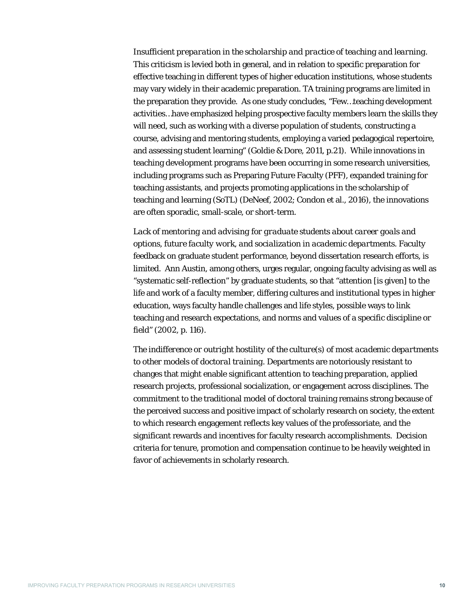*Insufficient preparation in the scholarship and practice of teaching and learning*. This criticism is levied both in general, and in relation to specific preparation for effective teaching in different types of higher education institutions, whose students may vary widely in their academic preparation. TA training programs are limited in the preparation they provide. As one study concludes, "Few…teaching development activities…have emphasized helping prospective faculty members learn the skills they will need, such as working with a diverse population of students, constructing a course, advising and mentoring students, employing a varied pedagogical repertoire, and assessing student learning" (Goldie & Dore, 2011, p.21). While innovations in teaching development programs have been occurring in some research universities, including programs such as Preparing Future Faculty (PFF), expanded training for teaching assistants, and projects promoting applications in the scholarship of teaching and learning (SoTL) (DeNeef, 2002; Condon et al., 2016), the innovations are often sporadic, small-scale, or short-term.

*Lack of mentoring and advising for graduate students about career goals and options, future faculty work, and socialization in academic departments.* Faculty feedback on graduate student performance, beyond dissertation research efforts, is limited. Ann Austin, among others, urges regular, ongoing faculty advising as well as "systematic self-reflection" by graduate students, so that "attention [is given] to the life and work of a faculty member, differing cultures and institutional types in higher education, ways faculty handle challenges and life styles, possible ways to link teaching and research expectations, and norms and values of a specific discipline or field" (2002, p. 116).

*The indifference or outright hostility of the culture(s) of most academic departments to other models of doctoral training.* Departments are notoriously resistant to changes that might enable significant attention to teaching preparation, applied research projects, professional socialization, or engagement across disciplines. The commitment to the traditional model of doctoral training remains strong because of the perceived success and positive impact of scholarly research on society, the extent to which research engagement reflects key values of the professoriate, and the significant rewards and incentives for faculty research accomplishments. Decision criteria for tenure, promotion and compensation continue to be heavily weighted in favor of achievements in scholarly research.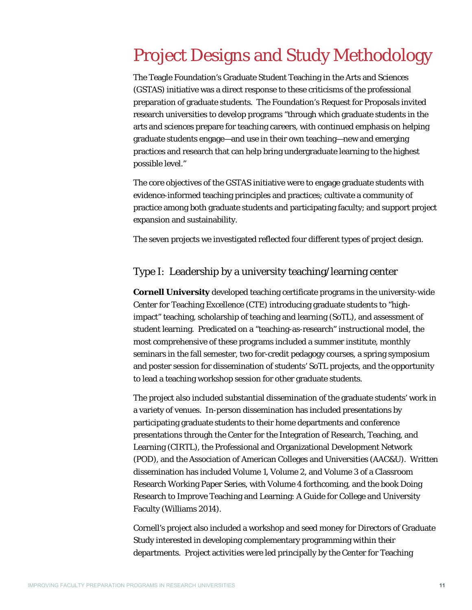# Project Designs and Study Methodology

The Teagle Foundation's Graduate Student Teaching in the Arts and Sciences (GSTAS) initiative was a direct response to these criticisms of the professional preparation of graduate students. The Foundation's Request for Proposals invited research universities to develop programs "through which graduate students in the arts and sciences prepare for teaching careers, with continued emphasis on helping graduate students engage—and use in their own teaching—new and emerging practices and research that can help bring undergraduate learning to the highest possible level."

The core objectives of the GSTAS initiative were to engage graduate students with evidence-informed teaching principles and practices; cultivate a community of practice among both graduate students and participating faculty; and support project expansion and sustainability.

The seven projects we investigated reflected four different types of project design.

## Type I: Leadership by a university teaching/learning center

**Cornell University** developed teaching certificate programs in the university-wide Center for Teaching Excellence (CTE) introducing graduate students to "highimpact" teaching, scholarship of teaching and learning (SoTL), and assessment of student learning. Predicated on a "teaching-as-research" instructional model, the most comprehensive of these programs included a summer institute, monthly seminars in the fall semester, two for-credit pedagogy courses, a spring symposium and poster session for dissemination of students' SoTL projects, and the opportunity to lead a teaching workshop session for other graduate students.

The project also included substantial dissemination of the graduate students' work in a variety of venues. In-person dissemination has included presentations by participating graduate students to their home departments and conference presentations through the Center for the Integration of Research, Teaching, and Learning (CIRTL), the Professional and Organizational Development Network (POD), and the Association of American Colleges and Universities (AAC&U). Written dissemination has included Volume 1, Volume 2, and Volume 3 of a Classroom Research Working Paper Series, with Volume 4 forthcoming, and the book Doing Research to Improve Teaching and Learning: A Guide for College and University Faculty (Williams 2014).

Cornell's project also included a workshop and seed money for Directors of Graduate Study interested in developing complementary programming within their departments. Project activities were led principally by the Center for Teaching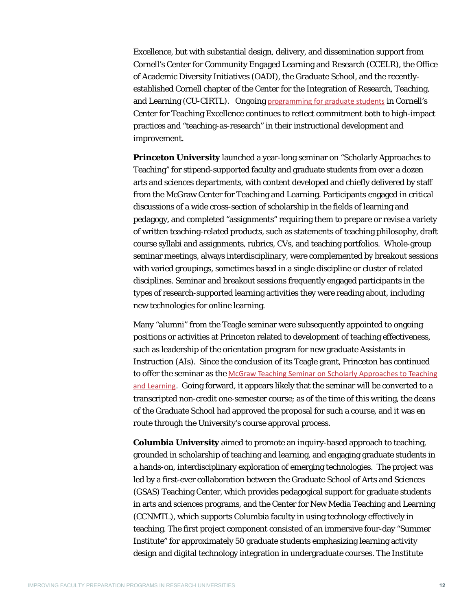Excellence, but with substantial design, delivery, and dissemination support from Cornell's Center for Community Engaged Learning and Research (CCELR), the Office of Academic Diversity Initiatives (OADI), the Graduate School, and the recentlyestablished Cornell chapter of the Center for the Integration of Research, Teaching, and Learning (CU-CIRTL). Ongoing [programming](https://www.cte.cornell.edu/programs-services/grads-future-educators-tas/index.html) for graduate students in Cornell's Center for Teaching Excellence continues to reflect commitment both to high-impact practices and "teaching-as-research" in their instructional development and improvement.

**Princeton University** launched a year-long seminar on "Scholarly Approaches to Teaching" for stipend-supported faculty and graduate students from over a dozen arts and sciences departments, with content developed and chiefly delivered by staff from the McGraw Center for Teaching and Learning. Participants engaged in critical discussions of a wide cross-section of scholarship in the fields of learning and pedagogy, and completed "assignments" requiring them to prepare or revise a variety of written teaching-related products, such as statements of teaching philosophy, draft course syllabi and assignments, rubrics, CVs, and teaching portfolios. Whole-group seminar meetings, always interdisciplinary, were complemented by breakout sessions with varied groupings, sometimes based in a single discipline or cluster of related disciplines. Seminar and breakout sessions frequently engaged participants in the types of research-supported learning activities they were reading about, including new technologies for online learning.

Many "alumni" from the Teagle seminar were subsequently appointed to ongoing positions or activities at Princeton related to development of teaching effectiveness, such as leadership of the orientation program for new graduate Assistants in Instruction (AIs). Since the conclusion of its Teagle grant, Princeton has continued to offer the seminar as the McGraw Teaching Seminar on Scholarly [Approaches](https://mcgraw.princeton.edu/graduates/teaching-seminar) to Teaching and [Learning](https://mcgraw.princeton.edu/graduates/teaching-seminar). Going forward, it appears likely that the seminar will be converted to a transcripted non-credit one-semester course; as of the time of this writing, the deans of the Graduate School had approved the proposal for such a course, and it was en route through the University's course approval process.

**Columbia University** aimed to promote an inquiry-based approach to teaching, grounded in scholarship of teaching and learning, and engaging graduate students in a hands-on, interdisciplinary exploration of emerging technologies. The project was led by a first-ever collaboration between the Graduate School of Arts and Sciences (GSAS) Teaching Center, which provides pedagogical support for graduate students in arts and sciences programs, and the Center for New Media Teaching and Learning (CCNMTL), which supports Columbia faculty in using technology effectively in teaching. The first project component consisted of an immersive four-day "Summer Institute" for approximately 50 graduate students emphasizing learning activity design and digital technology integration in undergraduate courses. The Institute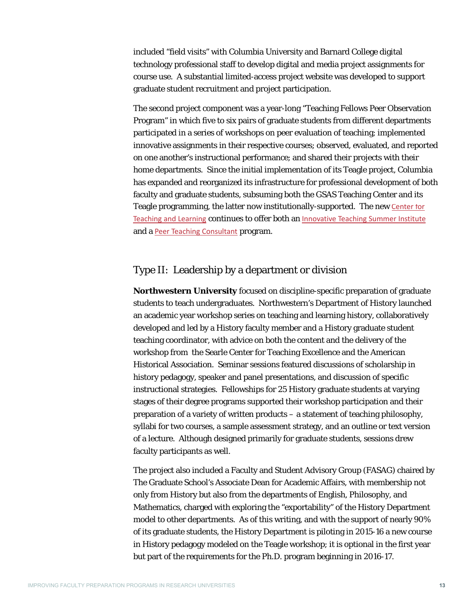included "field visits" with Columbia University and Barnard College digital technology professional staff to develop digital and media project assignments for course use. A substantial limited-access project website was developed to support graduate student recruitment and project participation.

The second project component was a year-long "Teaching Fellows Peer Observation Program" in which five to six pairs of graduate students from different departments participated in a series of workshops on peer evaluation of teaching; implemented innovative assignments in their respective courses; observed, evaluated, and reported on one another's instructional performance; and shared their projects with their home departments. Since the initial implementation of its Teagle project, Columbia has expanded and reorganized its infrastructure for professional development of both faculty and graduate students, subsuming both the GSAS Teaching Center and its Teagle programming, the latter now institutionally-supported. The new [Center](http://ctl.columbia.edu/) for [Teaching](http://ctl.columbia.edu/) and Learning continues to offer both an [Innovative](http://ctl.columbia.edu/graduate-instructors/itsi/) Teaching Summer Institute and a Peer Teaching [Consultant](https://teachingcenter.wikischolars.columbia.edu/Peer+Teaching+Consultants) program.

## Type II: Leadership by a department or division

**Northwestern University** focused on discipline-specific preparation of graduate students to teach undergraduates. Northwestern's Department of History launched an academic year workshop series on teaching and learning history, collaboratively developed and led by a History faculty member and a History graduate student teaching coordinator, with advice on both the content and the delivery of the workshop from the Searle Center for Teaching Excellence and the American Historical Association. Seminar sessions featured discussions of scholarship in history pedagogy, speaker and panel presentations, and discussion of specific instructional strategies. Fellowships for 25 History graduate students at varying stages of their degree programs supported their workshop participation and their preparation of a variety of written products – a statement of teaching philosophy, syllabi for two courses, a sample assessment strategy, and an outline or text version of a lecture. Although designed primarily for graduate students, sessions drew faculty participants as well.

The project also included a Faculty and Student Advisory Group (FASAG) chaired by The Graduate School's Associate Dean for Academic Affairs, with membership not only from History but also from the departments of English, Philosophy, and Mathematics, charged with exploring the "exportability" of the History Department model to other departments. As of this writing, and with the support of nearly 90% of its graduate students, the History Department is piloting in 2015-16 a new course in History pedagogy modeled on the Teagle workshop; it is optional in the first year but part of the requirements for the Ph.D. program beginning in 2016-17.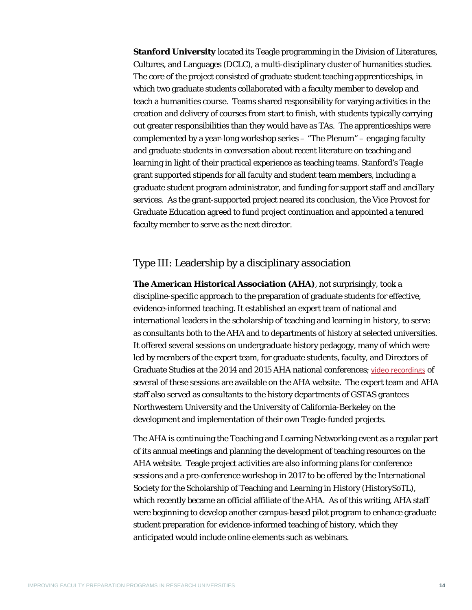**Stanford University** located its Teagle programming in the Division of Literatures, Cultures, and Languages (DCLC), a multi-disciplinary cluster of humanities studies. The core of the project consisted of graduate student teaching apprenticeships, in which two graduate students collaborated with a faculty member to develop and teach a humanities course. Teams shared responsibility for varying activities in the creation and delivery of courses from start to finish, with students typically carrying out greater responsibilities than they would have as TAs. The apprenticeships were complemented by a year-long workshop series – "The Plenum" – engaging faculty and graduate students in conversation about recent literature on teaching and learning in light of their practical experience as teaching teams. Stanford's Teagle grant supported stipends for all faculty and student team members, including a graduate student program administrator, and funding for support staff and ancillary services. As the grant-supported project neared its conclusion, the Vice Provost for Graduate Education agreed to fund project continuation and appointed a tenured faculty member to serve as the next director.

## Type III: Leadership by a disciplinary association

**The American Historical Association (AHA)**, not surprisingly, took a discipline-specific approach to the preparation of graduate students for effective, evidence-informed teaching. It established an expert team of national and international leaders in the scholarship of teaching and learning in history, to serve as consultants both to the AHA and to departments of history at selected universities. It offered several sessions on undergraduate history pedagogy, many of which were led by members of the expert team, for graduate students, faculty, and Directors of Graduate Studies at the 2014 and 2015 AHA national conferences; [video recordings](http://blog.historians.org/2014/03/special-projects-2014-annual-meeting-new-video-available/) of several of these sessions are available on the AHA website. The expert team and AHA staff also served as consultants to the history departments of GSTAS grantees Northwestern University and the University of California-Berkeley on the development and implementation of their own Teagle-funded projects.

The AHA is continuing the Teaching and Learning Networking event as a regular part of its annual meetings and planning the development of teaching resources on the AHA website. Teagle project activities are also informing plans for conference sessions and a pre-conference workshop in 2017 to be offered by the International Society for the Scholarship of Teaching and Learning in History (HistorySoTL), which recently became an official affiliate of the AHA. As of this writing, AHA staff were beginning to develop another campus-based pilot program to enhance graduate student preparation for evidence-informed teaching of history, which they anticipated would include online elements such as webinars.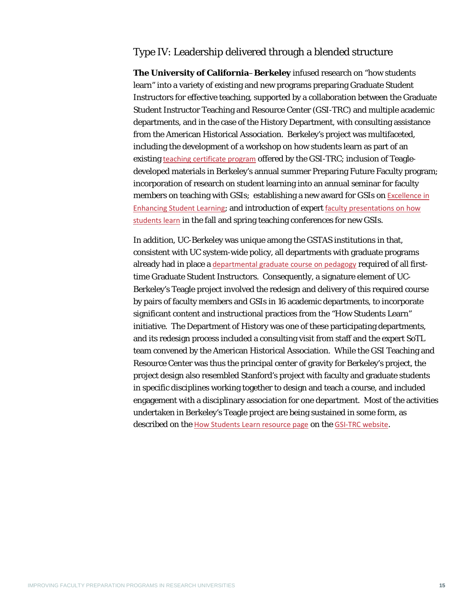## Type IV: Leadership delivered through a blended structure

**The University of California**–**Berkeley** infused research on "how students learn" into a variety of existing and new programs preparing Graduate Student Instructors for effective teaching, supported by a collaboration between the Graduate Student Instructor Teaching and Resource Center (GSI-TRC) and multiple academic departments, and in the case of the History Department, with consulting assistance from the American Historical Association. Berkeley's project was multifaceted, including the development of a workshop on how students learn as part of an existing [teaching certificate program](http://gsi.berkeley.edu/programs-services/certificate-program/) offered by the GSI-TRC; inclusion of Teagledeveloped materials in Berkeley's annual summer Preparing Future Faculty program; incorporation of research on student learning into an annual seminar for faculty members on teaching with GSIs; establishing a new award for GSIs on [Excellence in](http://gsi.berkeley.edu/programs-services/award-programs/tea-teagle-award/)  [Enhancing Student Learning](http://gsi.berkeley.edu/programs-services/award-programs/tea-teagle-award/); and introduction of expert [faculty presentations on how](http://gsi.berkeley.edu/programs-services/hsl-project/hsl-teaching/)  [students learn](http://gsi.berkeley.edu/programs-services/hsl-project/hsl-teaching/) in the fall and spring teaching conferences for new GSIs.

In addition, UC-Berkeley was unique among the GSTAS institutions in that, consistent with UC system-wide policy, all departments with graduate programs already had in place a [departmental graduate course on pedagogy](http://gsi.berkeley.edu/basics-for-gsis/pedagogy-course/) required of all firsttime Graduate Student Instructors. Consequently, a signature element of UC-Berkeley's Teagle project involved the redesign and delivery of this required course by pairs of faculty members and GSIs in 16 academic departments, to incorporate significant content and instructional practices from the "How Students Learn" initiative. The Department of History was one of these participating departments, and its redesign process included a consulting visit from staff and the expert SoTL team convened by the American Historical Association. While the GSI Teaching and Resource Center was thus the principal center of gravity for Berkeley's project, the project design also resembled Stanford's project with faculty and graduate students in specific disciplines working together to design and teach a course, and included engagement with a disciplinary association for one department. Most of the activities undertaken in Berkeley's Teagle project are being sustained in some form, as described on the [How Students Learn resource page](http://gsi.berkeley.edu/programs-services/hsl-project/) on the [GSI-TRC website](http://gsi.berkeley.edu/).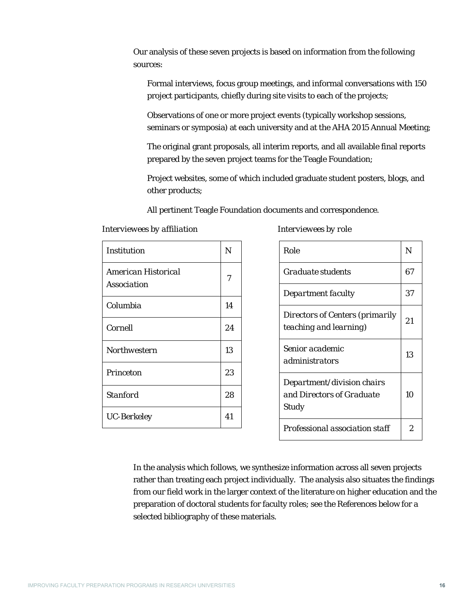Our analysis of these seven projects is based on information from the following sources:

Formal interviews, focus group meetings, and informal conversations with 150 project participants, chiefly during site visits to each of the projects;

Observations of one or more project events (typically workshop sessions, seminars or symposia) at each university and at the AHA 2015 Annual Meeting;

The original grant proposals, all interim reports, and all available final reports prepared by the seven project teams for the Teagle Foundation;

Project websites, some of which included graduate student posters, blogs, and other products;

All pertinent Teagle Foundation documents and correspondence.

*Interviewees by affiliation* 

| <i>Institution</i>                        | $\overline{N}$ |
|-------------------------------------------|----------------|
| American Historical<br><b>Association</b> | 7              |
| Columbia                                  | 14             |
| Cornell                                   | 24             |
| <b>Northwestern</b>                       | 13             |
| <b>Princeton</b>                          | 23             |
| <b>Stanford</b>                           | 28             |
| <b>UC-Berkeley</b>                        | 41             |

#### *Interviewees by role*

| Role                                                             | N  |
|------------------------------------------------------------------|----|
| <i>Graduate students</i>                                         | 67 |
| <i>Department faculty</i>                                        | 37 |
| <b>Directors of Centers (primarily</b><br>teaching and learning) | 21 |
| <i>Senior academic</i><br>administrators                         | 13 |
| Department/division chairs<br>and Directors of Graduate<br>Study | 10 |
| Professional association staff                                   | 2  |

In the analysis which follows, we synthesize information across all seven projects rather than treating each project individually. The analysis also situates the findings from our field work in the larger context of the literature on higher education and the preparation of doctoral students for faculty roles; see the References below for a selected bibliography of these materials.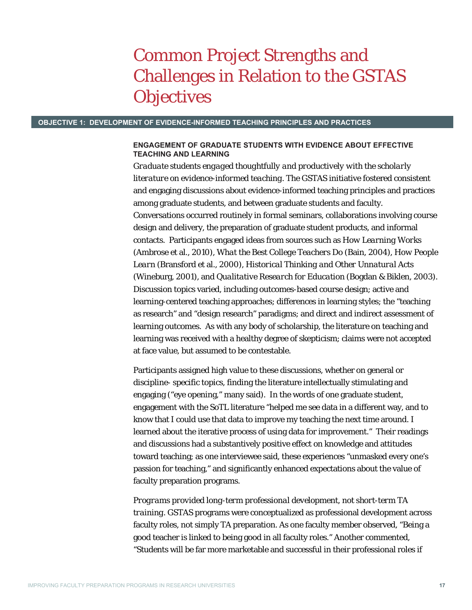# Common Project Strengths and Challenges in Relation to the GSTAS **Objectives**

## **OBJECTIVE 1: DEVELOPMENT OF EVIDENCE-INFORMED TEACHING PRINCIPLES AND PRACTICES**

## **ENGAGEMENT OF GRADUATE STUDENTS WITH EVIDENCE ABOUT EFFECTIVE TEACHING AND LEARNING**

*Graduate students engaged thoughtfully and productively with the scholarly literature on evidence-informed teaching*. The GSTAS initiative fostered consistent and engaging discussions about evidence-informed teaching principles and practices among graduate students, and between graduate students and faculty. Conversations occurred routinely in formal seminars, collaborations involving course design and delivery, the preparation of graduate student products, and informal contacts. Participants engaged ideas from sources such as *How Learning Works*  (Ambrose et al., 2010), *What the Best College Teachers Do* (Bain, 2004)*, How People Learn* (Bransford et al., 2000)*, Historical Thinking and Other Unnatural Acts*  (Wineburg, 2001)*,* and *Qualitative Research for Education* (Bogdan & Biklen, 2003). Discussion topics varied, including outcomes-based course design; active and learning-centered teaching approaches; differences in learning styles; the "teaching as research" and "design research" paradigms; and direct and indirect assessment of learning outcomes. As with any body of scholarship, the literature on teaching and learning was received with a healthy degree of skepticism; claims were not accepted at face value, but assumed to be contestable.

Participants assigned high value to these discussions, whether on general or discipline- specific topics, finding the literature intellectually stimulating and engaging ("eye opening," many said). In the words of one graduate student, engagement with the SoTL literature "helped me see data in a different way, and to know that I could use that data to improve my teaching the next time around. I learned about the iterative process of using data for improvement." Their readings and discussions had a substantively positive effect on knowledge and attitudes toward teaching; as one interviewee said, these experiences "unmasked every one's passion for teaching," and significantly enhanced expectations about the value of faculty preparation programs.

*Programs provided long-term professional development, not short-term TA training*. GSTAS programs were conceptualized as professional development across faculty roles, not simply TA preparation. As one faculty member observed, "Being a good teacher is linked to being good in all faculty roles." Another commented, "Students will be far more marketable and successful in their professional roles if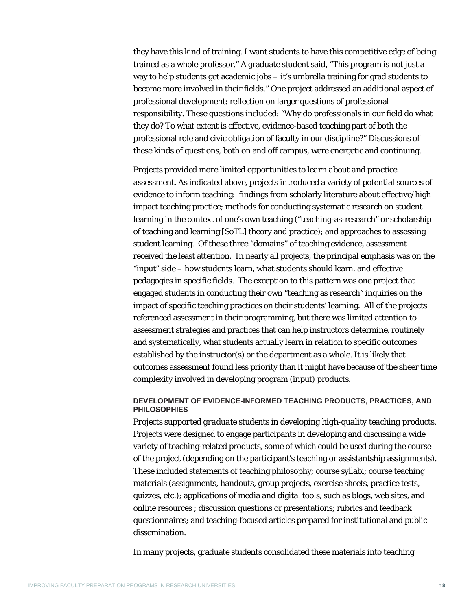they have this kind of training. I want students to have this competitive edge of being trained as a whole professor." A graduate student said, "This program is not just a way to help students get academic jobs – it's umbrella training for grad students to become more involved in their fields." One project addressed an additional aspect of professional development: reflection on larger questions of professional responsibility. These questions included: "Why do professionals in our field do what they do? To what extent is effective, evidence-based teaching part of both the professional role and civic obligation of faculty in our discipline?" Discussions of these kinds of questions, both on and off campus, were energetic and continuing.

*Projects provided more limited opportunities to learn about and practice assessment*. As indicated above, projects introduced a variety of potential sources of evidence to inform teaching: findings from scholarly literature about effective/high impact teaching practice; methods for conducting systematic research on student learning in the context of one's own teaching ("teaching-as-research" or scholarship of teaching and learning [SoTL] theory and practice); and approaches to assessing student learning. Of these three "domains" of teaching evidence, assessment received the least attention. In nearly all projects, the principal emphasis was on the "input" side – how students learn, what students *should* learn, and effective pedagogies in specific fields. The exception to this pattern was one project that engaged students in conducting their own "teaching as research" inquiries on the impact of specific teaching practices on their students' learning. All of the projects referenced assessment in their programming, but there was limited attention to assessment strategies and practices that can help instructors determine, routinely and systematically, what students actually learn in relation to specific outcomes established by the instructor(s) or the department as a whole. It is likely that outcomes assessment found less priority than it might have because of the sheer time complexity involved in developing program (input) products.

## **DEVELOPMENT OF EVIDENCE-INFORMED TEACHING PRODUCTS, PRACTICES, AND PHILOSOPHIES**

*Projects supported graduate students in developing high-quality teaching products*. Projects were designed to engage participants in developing and discussing a wide variety of teaching-related products, some of which could be used during the course of the project (depending on the participant's teaching or assistantship assignments). These included statements of teaching philosophy; course syllabi; course teaching materials (assignments, handouts, group projects, exercise sheets, practice tests, quizzes, etc.); applications of media and digital tools, such as blogs, web sites, and online resources ; discussion questions or presentations; rubrics and feedback questionnaires; and teaching-focused articles prepared for institutional and public dissemination.

In many projects, graduate students consolidated these materials into teaching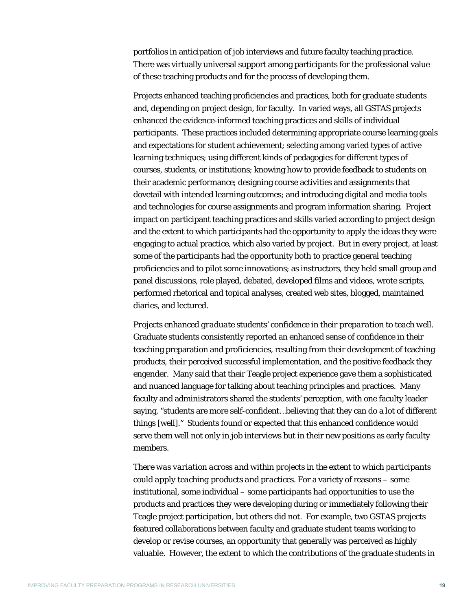portfolios in anticipation of job interviews and future faculty teaching practice. There was virtually universal support among participants for the professional value of these teaching products and for the process of developing them.

Projects enhanced teaching proficiencies and practices, both for graduate students and, depending on project design, for faculty. In varied ways, all GSTAS projects enhanced the evidence-informed teaching practices and skills of individual participants. These practices included determining appropriate course learning goals and expectations for student achievement; selecting among varied types of active learning techniques; using different kinds of pedagogies for different types of courses, students, or institutions; knowing how to provide feedback to students on their academic performance; designing course activities and assignments that dovetail with intended learning outcomes; and introducing digital and media tools and technologies for course assignments and program information sharing. Project impact on participant teaching practices and skills varied according to project design and the extent to which participants had the opportunity to apply the ideas they were engaging to actual practice, which also varied by project. But in every project, at least some of the participants had the opportunity both to practice general teaching proficiencies and to pilot some innovations; as instructors, they held small group and panel discussions, role played, debated, developed films and videos, wrote scripts, performed rhetorical and topical analyses, created web sites, blogged, maintained diaries, and lectured.

*Projects enhanced graduate students' confidence in their preparation to teach well*. Graduate students consistently reported an enhanced sense of confidence in their teaching preparation and proficiencies, resulting from their development of teaching products, their perceived successful implementation, and the positive feedback they engender. Many said that their Teagle project experience gave them a sophisticated and nuanced language for talking about teaching principles and practices. Many faculty and administrators shared the students' perception, with one faculty leader saying, "students are more self-confident…believing that they can do a lot of different things [well]." Students found or expected that this enhanced confidence would serve them well not only in job interviews but in their new positions as early faculty members.

*There was variation across and within projects in the extent to which participants could apply teaching products and practices.* For a variety of reasons – some institutional, some individual – some participants had opportunities to use the products and practices they were developing during or immediately following their Teagle project participation, but others did not. For example, two GSTAS projects featured collaborations between faculty and graduate student teams working to develop or revise courses, an opportunity that generally was perceived as highly valuable. However, the extent to which the contributions of the graduate students in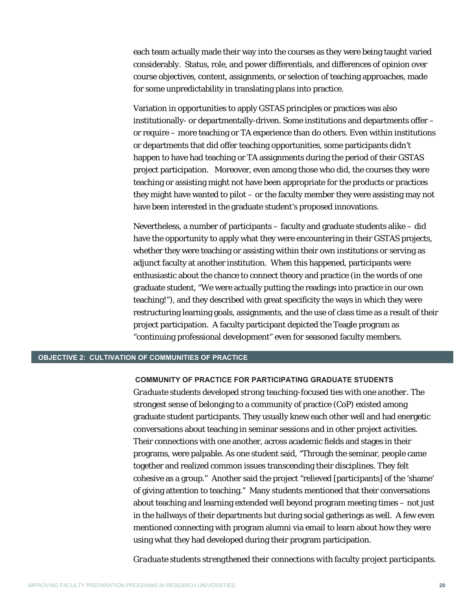each team actually made their way into the courses as they were being taught varied considerably. Status, role, and power differentials, and differences of opinion over course objectives, content, assignments, or selection of teaching approaches, made for some unpredictability in translating plans into practice.

Variation in opportunities to apply GSTAS principles or practices was also institutionally- or departmentally-driven. Some institutions and departments offer – or require – more teaching or TA experience than do others. Even within institutions or departments that did offer teaching opportunities, some participants didn't happen to have had teaching or TA assignments during the period of their GSTAS project participation. Moreover, even among those who did, the courses they were teaching or assisting might not have been appropriate for the products or practices they might have wanted to pilot – or the faculty member they were assisting may not have been interested in the graduate student's proposed innovations.

Nevertheless, a number of participants – faculty and graduate students alike – did have the opportunity to apply what they were encountering in their GSTAS projects, whether they were teaching or assisting within their own institutions or serving as adjunct faculty at another institution. When this happened, participants were enthusiastic about the chance to connect theory and practice (in the words of one graduate student, "We were actually putting the readings into practice in our own teaching!"), and they described with great specificity the ways in which they were restructuring learning goals, assignments, and the use of class time as a result of their project participation. A faculty participant depicted the Teagle program as "continuing professional development" even for seasoned faculty members.

#### **OBJECTIVE 2: CULTIVATION OF COMMUNITIES OF PRACTICE**

## **COMMUNITY OF PRACTICE FOR PARTICIPATING GRADUATE STUDENTS**

*Graduate students developed strong teaching-focused ties with one another*. The strongest sense of belonging to a community of practice (CoP) existed among graduate student participants. They usually knew each other well and had energetic conversations about teaching in seminar sessions and in other project activities. Their connections with one another, across academic fields and stages in their programs, were palpable. As one student said, "Through the seminar, people came together and realized common issues transcending their disciplines. They felt cohesive as a group." Another said the project "relieved [participants] of the 'shame' of giving attention to teaching." Many students mentioned that their conversations about teaching and learning extended well beyond program meeting times – not just in the hallways of their departments but during social gatherings as well. A few even mentioned connecting with program alumni via email to learn about how they were using what they had developed during their program participation.

*Graduate students strengthened their connections with faculty project participants*.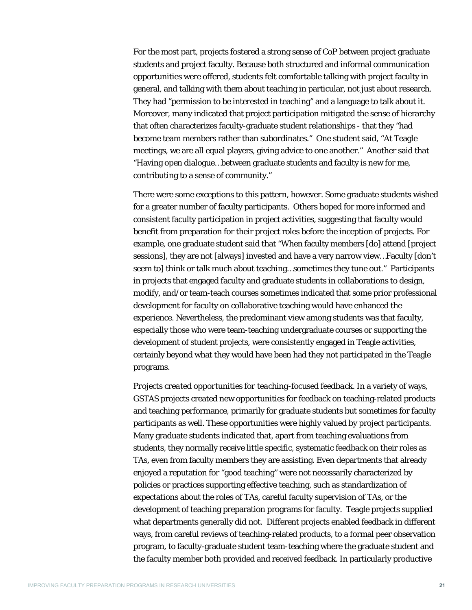For the most part, projects fostered a strong sense of CoP between project graduate students and project faculty. Because both structured and informal communication opportunities were offered, students felt comfortable talking with project faculty in general, and talking with them about teaching in particular, not just about research. They had "permission to be interested in teaching" and a language to talk about it. Moreover, many indicated that project participation mitigated the sense of hierarchy that often characterizes faculty-graduate student relationships - that they "had become team members rather than subordinates." One student said, "At Teagle meetings, we are all equal players, giving advice to one another." Another said that "Having open dialogue…between graduate students and faculty is new for me, contributing to a sense of community."

There were some exceptions to this pattern, however. Some graduate students wished for a greater number of faculty participants. Others hoped for more informed and consistent faculty participation in project activities, suggesting that faculty would benefit from preparation for their project roles before the inception of projects. For example, one graduate student said that "When faculty members [do] attend [project sessions], they are not [always] invested and have a very narrow view…Faculty [don't seem to] think or talk much about teaching…sometimes they tune out." Participants in projects that engaged faculty and graduate students in collaborations to design, modify, and/or team-teach courses sometimes indicated that some prior professional development for faculty on collaborative teaching would have enhanced the experience. Nevertheless, the predominant view among students was that faculty, especially those who were team-teaching undergraduate courses or supporting the development of student projects, were consistently engaged in Teagle activities, certainly beyond what they would have been had they not participated in the Teagle programs.

*Projects created opportunities for teaching-focused feedback*. In a variety of ways, GSTAS projects created new opportunities for feedback on teaching-related products and teaching performance, primarily for graduate students but sometimes for faculty participants as well. These opportunities were highly valued by project participants. Many graduate students indicated that, apart from teaching evaluations from students, they normally receive little specific, systematic feedback on their roles as TAs, even from faculty members they are assisting. Even departments that already enjoyed a reputation for "good teaching" were not necessarily characterized by policies or practices supporting effective teaching, such as standardization of expectations about the roles of TAs, careful faculty supervision of TAs, or the development of teaching preparation programs for faculty. Teagle projects supplied what departments generally did not. Different projects enabled feedback in different ways, from careful reviews of teaching-related products, to a formal peer observation program, to faculty-graduate student team-teaching where the graduate student and the faculty member both provided and received feedback. In particularly productive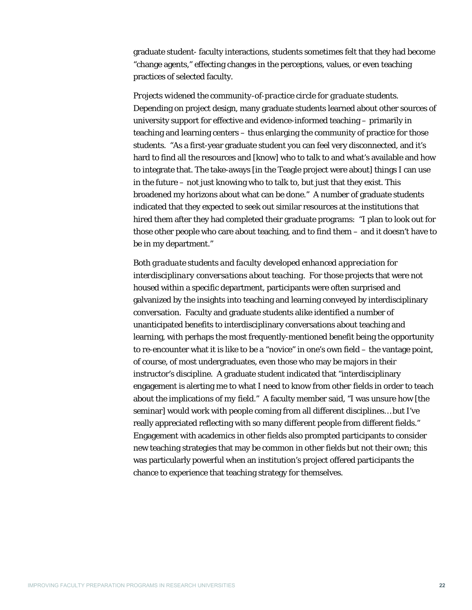graduate student- faculty interactions, students sometimes felt that they had become "change agents," effecting changes in the perceptions, values, or even teaching practices of selected faculty.

*Projects widened the community-of-practice circle for graduate students.* Depending on project design, many graduate students learned about other sources of university support for effective and evidence-informed teaching – primarily in teaching and learning centers – thus enlarging the community of practice for those students. "As a first-year graduate student you can feel very disconnected, and it's hard to find all the resources and [know] who to talk to and what's available and how to integrate that. The take-aways [in the Teagle project were about] things I can use in the future – not just knowing who to talk to, but just that they *exist*. This broadened my horizons about what can be done." A number of graduate students indicated that they expected to seek out similar resources at the institutions that hired them after they had completed their graduate programs: "I plan to look out for those other people who care about teaching, and to find them – and it doesn't have to be in my department."

*Both graduate students and faculty developed enhanced appreciation for interdisciplinary conversations about teaching.* For those projects that were not housed within a specific department, participants were often surprised and galvanized by the insights into teaching and learning conveyed by interdisciplinary conversation. Faculty and graduate students alike identified a number of unanticipated benefits to interdisciplinary conversations about teaching and learning, with perhaps the most frequently-mentioned benefit being the opportunity to re-encounter what it is like to be a "novice" in one's own field – the vantage point, of course, of most undergraduates, even those who may be majors in their instructor's discipline. A graduate student indicated that "interdisciplinary engagement is alerting me to what I need to know from *other* fields in order to teach about the implications of *my* field." A faculty member said, "I was unsure how [the seminar] would work with people coming from all different disciplines… but I've really appreciated reflecting with so many different people from different fields." Engagement with academics in other fields also prompted participants to consider new teaching strategies that may be common in other fields but not their own; this was particularly powerful when an institution's project offered participants the chance to experience that teaching strategy for themselves.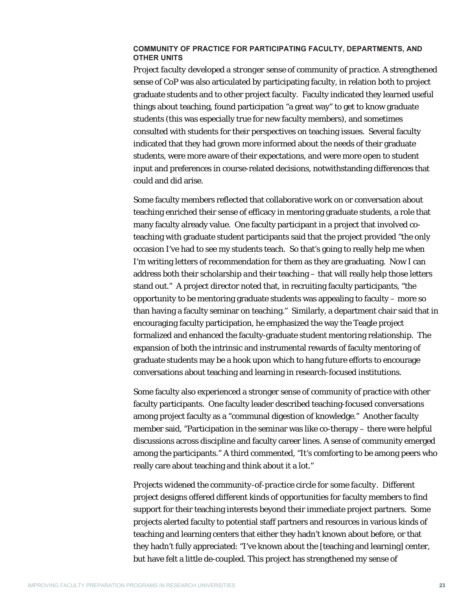## **COMMUNITY OF PRACTICE FOR PARTICIPATING FACULTY, DEPARTMENTS, AND OTHER UNITS**

*Project faculty developed a stronger sense of community of practice*. A strengthened sense of CoP was also articulated by participating faculty, in relation both to project graduate students and to other project faculty. Faculty indicated they learned useful things about teaching, found participation "a great way" to get to know graduate students (this was especially true for new faculty members), and sometimes consulted with students for their perspectives on teaching issues. Several faculty indicated that they had grown more informed about the needs of their graduate students, were more aware of their expectations, and were more open to student input and preferences in course-related decisions, notwithstanding differences that could and did arise.

Some faculty members reflected that collaborative work on or conversation about teaching enriched their sense of efficacy in mentoring graduate students, a role that many faculty already value. One faculty participant in a project that involved coteaching with graduate student participants said that the project provided "the only occasion I've had to see my students teach. So that's going to really help me when I'm writing letters of recommendation for them as they are graduating. Now I can address both their scholarship *and* their teaching – that will really help those letters stand out." A project director noted that, in recruiting faculty participants, "the opportunity to be mentoring graduate students was appealing to faculty – more so than having a faculty seminar on teaching." Similarly, a department chair said that in encouraging faculty participation, he emphasized the way the Teagle project formalized and enhanced the faculty-graduate student mentoring relationship. The expansion of both the intrinsic and instrumental rewards of faculty mentoring of graduate students may be a hook upon which to hang future efforts to encourage conversations about teaching and learning in research-focused institutions.

Some faculty also experienced a stronger sense of community of practice with other faculty participants. One faculty leader described teaching-focused conversations among project faculty as a "communal digestion of knowledge." Another faculty member said, "Participation in the seminar was like co-therapy – there were helpful discussions across discipline and faculty career lines. A sense of community emerged among the participants." A third commented, "It's comforting to be among peers who really care about teaching and think about it a lot."

*Projects widened the community-of-practice circle for some faculty.* Different project designs offered different kinds of opportunities for faculty members to find support for their teaching interests beyond their immediate project partners. Some projects alerted faculty to potential staff partners and resources in various kinds of teaching and learning centers that either they hadn't known about before, or that they hadn't fully appreciated: "I've known about the [teaching and learning] center, but have felt a little de-coupled. This project has strengthened my sense of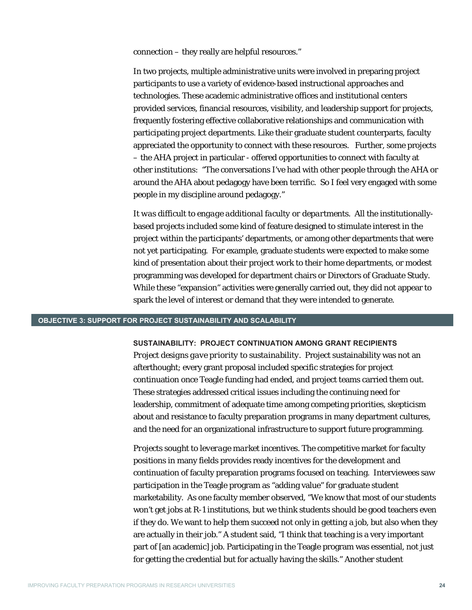connection – they really are helpful resources."

In two projects, multiple administrative units were involved in preparing project participants to use a variety of evidence-based instructional approaches and technologies. These academic administrative offices and institutional centers provided services, financial resources, visibility, and leadership support for projects, frequently fostering effective collaborative relationships and communication with participating project departments. Like their graduate student counterparts, faculty appreciated the opportunity to connect with these resources. Further, some projects – the AHA project in particular - offered opportunities to connect with faculty at other institutions: "The conversations I've had with other people through the AHA or around the AHA about pedagogy have been terrific. So I feel very engaged with some people in my discipline around pedagogy."

*It was difficult to engage additional faculty or departments.* All the institutionallybased projects included some kind of feature designed to stimulate interest in the project within the participants' departments, or among other departments that were not yet participating. For example, graduate students were expected to make some kind of presentation about their project work to their home departments, or modest programming was developed for department chairs or Directors of Graduate Study. While these "expansion" activities were generally carried out, they did not appear to spark the level of interest or demand that they were intended to generate.

## **OBJECTIVE 3: SUPPORT FOR PROJECT SUSTAINABILITY AND SCALABILITY**

**SUSTAINABILITY: PROJECT CONTINUATION AMONG GRANT RECIPIENTS**  *Project designs gave priority to sustainability.* Project sustainability was not an afterthought; every grant proposal included specific strategies for project continuation once Teagle funding had ended, and project teams carried them out. These strategies addressed critical issues including the continuing need for leadership, commitment of adequate time among competing priorities, skepticism about and resistance to faculty preparation programs in many department cultures, and the need for an organizational infrastructure to support future programming.

*Projects sought to leverage market incentives*. The competitive market for faculty positions in many fields provides ready incentives for the development and continuation of faculty preparation programs focused on teaching. Interviewees saw participation in the Teagle program as "adding value" for graduate student marketability. As one faculty member observed, "We know that most of our students won't get jobs at R-1 institutions, but we think students should be good teachers even if they do. We want to help them succeed not only in *getting* a job, but also when they are actually *in* their job." A student said, "I think that teaching is a very important part of [an academic] job. Participating in the Teagle program was essential, not just for getting the credential but for actually having the skills." Another student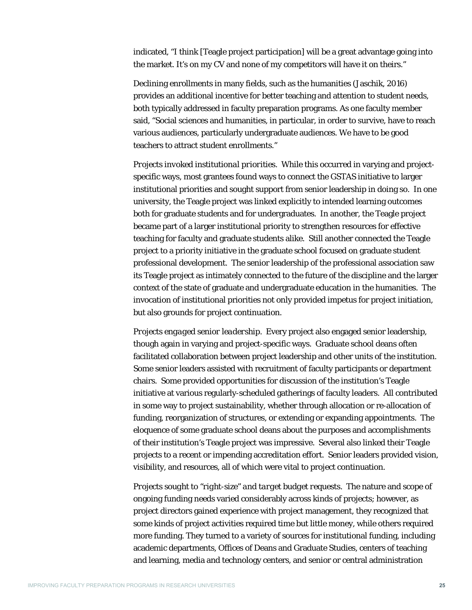indicated, "I think [Teagle project participation] will be a great advantage going into the market. It's on my CV and none of my competitors will have it on theirs."

Declining enrollments in many fields, such as the humanities (Jaschik, 2016) provides an additional incentive for better teaching and attention to student needs, both typically addressed in faculty preparation programs. As one faculty member said, "Social sciences and humanities, in particular, in order to survive, have to reach various audiences, particularly undergraduate audiences. We have to be good teachers to attract student enrollments."

*Projects invoked institutional priorities*. While this occurred in varying and projectspecific ways, most grantees found ways to connect the GSTAS initiative to larger institutional priorities and sought support from senior leadership in doing so. In one university, the Teagle project was linked explicitly to intended learning outcomes both for graduate students and for undergraduates. In another, the Teagle project became part of a larger institutional priority to strengthen resources for effective teaching for faculty and graduate students alike. Still another connected the Teagle project to a priority initiative in the graduate school focused on graduate student professional development. The senior leadership of the professional association saw its Teagle project as intimately connected to the future of the discipline and the larger context of the state of graduate and undergraduate education in the humanities. The invocation of institutional priorities not only provided impetus for project initiation, but also grounds for project continuation.

*Projects engaged senior leadership*. Every project also engaged senior leadership, though again in varying and project-specific ways. Graduate school deans often facilitated collaboration between project leadership and other units of the institution. Some senior leaders assisted with recruitment of faculty participants or department chairs. Some provided opportunities for discussion of the institution's Teagle initiative at various regularly-scheduled gatherings of faculty leaders. All contributed in some way to project sustainability, whether through allocation or re-allocation of funding, reorganization of structures, or extending or expanding appointments. The eloquence of some graduate school deans about the purposes and accomplishments of their institution's Teagle project was impressive. Several also linked their Teagle projects to a recent or impending accreditation effort. Senior leaders provided vision, visibility, and resources, all of which were vital to project continuation.

*Projects sought to "right-size" and target budget requests*. The nature and scope of ongoing funding needs varied considerably across kinds of projects; however, as project directors gained experience with project management, they recognized that some kinds of project activities required time but little money, while others required more funding. They turned to a variety of sources for institutional funding, including academic departments, Offices of Deans and Graduate Studies, centers of teaching and learning, media and technology centers, and senior or central administration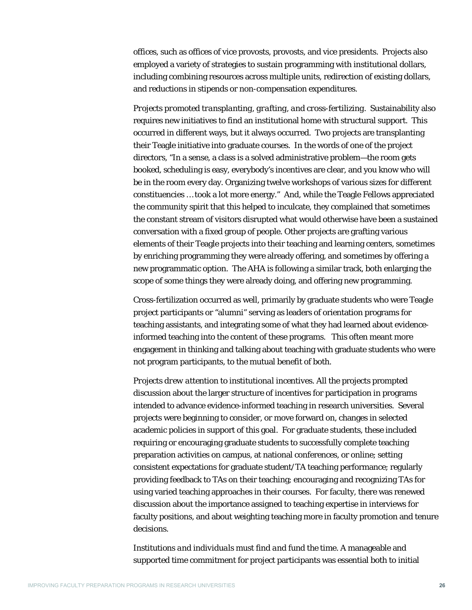offices, such as offices of vice provosts, provosts, and vice presidents. Projects also employed a variety of strategies to sustain programming with institutional dollars, including combining resources across multiple units, redirection of existing dollars, and reductions in stipends or non-compensation expenditures.

*Projects promoted transplanting, grafting, and cross-fertilizing.* Sustainability also requires new initiatives to find an institutional home with structural support. This occurred in different ways, but it always occurred. Two projects are transplanting their Teagle initiative into graduate courses. In the words of one of the project directors, "In a sense, a class is a solved administrative problem—the room gets booked, scheduling is easy, everybody's incentives are clear, and you know who will be in the room every day. Organizing twelve workshops of various sizes for different constituencies … took a lot more energy." And, while the Teagle Fellows appreciated the community spirit that this helped to inculcate, they complained that sometimes the constant stream of visitors disrupted what would otherwise have been a sustained conversation with a fixed group of people. Other projects are grafting various elements of their Teagle projects into their teaching and learning centers, sometimes by enriching programming they were already offering, and sometimes by offering a new programmatic option. The AHA is following a similar track, both enlarging the scope of some things they were already doing, and offering new programming.

Cross-fertilization occurred as well, primarily by graduate students who were Teagle project participants or "alumni" serving as leaders of orientation programs for teaching assistants, and integrating some of what they had learned about evidenceinformed teaching into the content of these programs. This often meant more engagement in thinking and talking about teaching with graduate students who were not program participants, to the mutual benefit of both.

*Projects drew attention to institutional incentives.* All the projects prompted discussion about the larger structure of incentives for participation in programs intended to advance evidence-informed teaching in research universities. Several projects were beginning to consider, or move forward on, changes in selected academic policies in support of this goal. For graduate students, these included requiring or encouraging graduate students to successfully complete teaching preparation activities on campus, at national conferences, or online; setting consistent expectations for graduate student/TA teaching performance; regularly providing feedback to TAs on their teaching; encouraging and recognizing TAs for using varied teaching approaches in their courses. For faculty, there was renewed discussion about the importance assigned to teaching expertise in interviews for faculty positions, and about weighting teaching more in faculty promotion and tenure decisions.

*Institutions and individuals must find and fund the time*. A manageable and supported time commitment for project participants was essential both to initial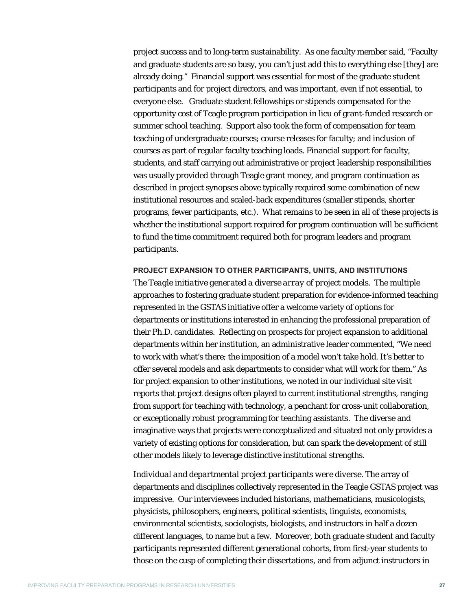project success and to long-term sustainability. As one faculty member said, "Faculty and graduate students are so busy, you can't just add this to everything else [they] are already doing." Financial support was essential for most of the graduate student participants and for project directors, and was important, even if not essential, to everyone else. Graduate student fellowships or stipends compensated for the opportunity cost of Teagle program participation in lieu of grant-funded research or summer school teaching. Support also took the form of compensation for team teaching of undergraduate courses; course releases for faculty; and inclusion of courses as part of regular faculty teaching loads. Financial support for faculty, students, and staff carrying out administrative or project leadership responsibilities was usually provided through Teagle grant money, and program continuation as described in project synopses above typically required some combination of new institutional resources and scaled-back expenditures (smaller stipends, shorter programs, fewer participants, etc.). What remains to be seen in all of these projects is whether the institutional support required for program continuation will be sufficient to fund the time commitment required both for program leaders and program participants.

## **PROJECT EXPANSION TO OTHER PARTICIPANTS, UNITS, AND INSTITUTIONS**  *The Teagle initiative generated a diverse array of project models*. The multiple approaches to fostering graduate student preparation for evidence-informed teaching represented in the GSTAS initiative offer a welcome variety of options for departments or institutions interested in enhancing the professional preparation of their Ph.D. candidates. Reflecting on prospects for project expansion to additional departments within her institution, an administrative leader commented, "We need to work with what's there; the imposition of a model won't take hold. It's better to offer several models and ask departments to consider what will work for them." As for project expansion to other institutions, we noted in our individual site visit reports that project designs often played to current institutional strengths, ranging from support for teaching with technology, a penchant for cross-unit collaboration, or exceptionally robust programming for teaching assistants. The diverse and imaginative ways that projects were conceptualized and situated not only provides a variety of existing options for consideration, but can spark the development of still other models likely to leverage distinctive institutional strengths.

*Individual and departmental project participants were diverse.* The array of departments and disciplines collectively represented in the Teagle GSTAS project was impressive. Our interviewees included historians, mathematicians, musicologists, physicists, philosophers, engineers, political scientists, linguists, economists, environmental scientists, sociologists, biologists, and instructors in half a dozen different languages, to name but a few. Moreover, both graduate student and faculty participants represented different generational cohorts, from first-year students to those on the cusp of completing their dissertations, and from adjunct instructors in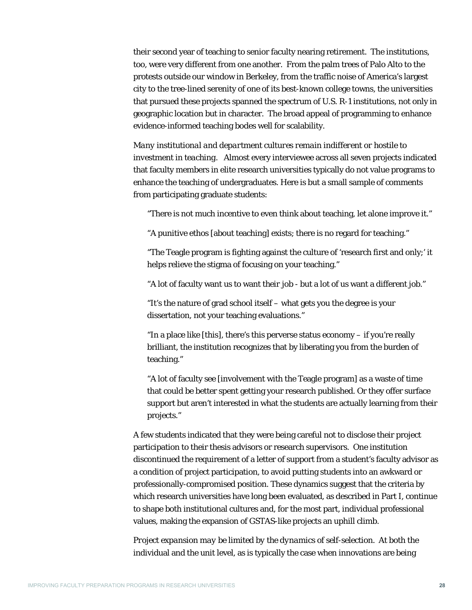their second year of teaching to senior faculty nearing retirement. The institutions, too, were very different from one another. From the palm trees of Palo Alto to the protests outside our window in Berkeley, from the traffic noise of America's largest city to the tree-lined serenity of one of its best-known college towns, the universities that pursued these projects spanned the spectrum of U.S. R-1 institutions, not only in geographic location but in character. The broad appeal of programming to enhance evidence-informed teaching bodes well for scalability.

*Many institutional and department cultures remain indifferent or hostile to investment in teaching.* Almost every interviewee across all seven projects indicated that faculty members in elite research universities typically do not value programs to enhance the teaching of undergraduates. Here is but a small sample of comments from participating graduate students:

"There is not much incentive to even think about teaching, let alone improve it."

"A punitive ethos [about teaching] exists; there is no regard for teaching."

"The Teagle program is fighting against the culture of 'research first and only;' it helps relieve the stigma of focusing on your teaching."

"A lot of faculty want us to want *their* job - but a lot of us want a different job."

"It's the nature of grad school itself – what gets you the degree is your dissertation, not your teaching evaluations."

"In a place like [this], there's this perverse status economy – if you're really brilliant, the institution recognizes that by liberating you from the burden of teaching."

"A lot of faculty see [involvement with the Teagle program] as a waste of time that could be better spent getting your research published. Or they offer surface support but aren't interested in what the students are actually learning from their projects."

A few students indicated that they were being careful not to disclose their project participation to their thesis advisors or research supervisors. One institution discontinued the requirement of a letter of support from a student's faculty advisor as a condition of project participation, to avoid putting students into an awkward or professionally-compromised position. These dynamics suggest that the criteria by which research universities have long been evaluated, as described in Part I, continue to shape both institutional cultures and, for the most part, individual professional values, making the expansion of GSTAS-like projects an uphill climb.

*Project expansion may be limited by the dynamics of self-selection.* At both the individual and the unit level, as is typically the case when innovations are being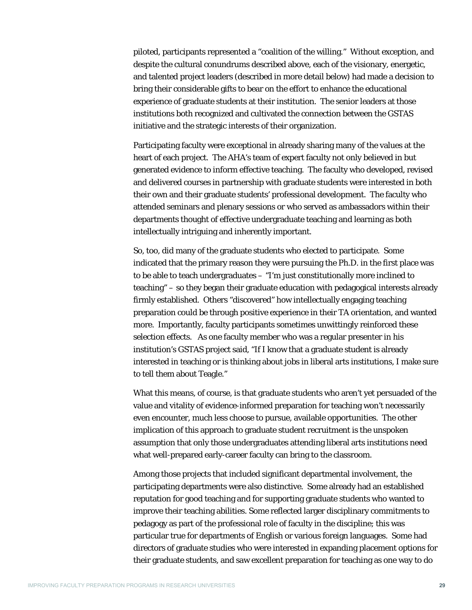piloted, participants represented a "coalition of the willing." Without exception, and despite the cultural conundrums described above, each of the visionary, energetic, and talented project leaders (described in more detail below) had made a decision to bring their considerable gifts to bear on the effort to enhance the educational experience of graduate students at their institution. The senior leaders at those institutions both recognized and cultivated the connection between the GSTAS initiative and the strategic interests of their organization.

Participating faculty were exceptional in already sharing many of the values at the heart of each project. The AHA's team of expert faculty not only believed in but generated evidence to inform effective teaching. The faculty who developed, revised and delivered courses in partnership with graduate students were interested in both their own and their graduate students' professional development. The faculty who attended seminars and plenary sessions or who served as ambassadors within their departments thought of effective undergraduate teaching and learning as both intellectually intriguing and inherently important.

So, too, did many of the graduate students who elected to participate. Some indicated that the primary reason they were pursuing the Ph.D. in the first place was to be able to teach undergraduates – "I'm just constitutionally more inclined to teaching" – so they began their graduate education with pedagogical interests already firmly established. Others "discovered" how intellectually engaging teaching preparation could be through positive experience in their TA orientation, and wanted more. Importantly, faculty participants sometimes unwittingly reinforced these selection effects. As one faculty member who was a regular presenter in his institution's GSTAS project said, "If I know that a graduate student is already interested in teaching or is thinking about jobs in liberal arts institutions, I make sure to tell them about Teagle."

What this means, of course, is that graduate students who aren't yet persuaded of the value and vitality of evidence-informed preparation for teaching won't necessarily even encounter, much less choose to pursue, available opportunities. The other implication of this approach to graduate student recruitment is the unspoken assumption that only those undergraduates attending liberal arts institutions need what well-prepared early-career faculty can bring to the classroom.

Among those projects that included significant departmental involvement, the participating departments were also distinctive. Some already had an established reputation for good teaching and for supporting graduate students who wanted to improve their teaching abilities. Some reflected larger disciplinary commitments to pedagogy as part of the professional role of faculty in the discipline; this was particular true for departments of English or various foreign languages. Some had directors of graduate studies who were interested in expanding placement options for their graduate students, and saw excellent preparation for teaching as one way to do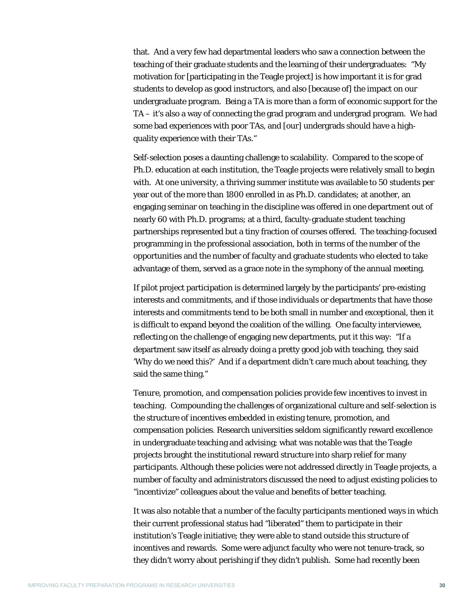that. And a very few had departmental leaders who saw a connection between the teaching of their graduate students and the learning of their undergraduates: "My motivation for [participating in the Teagle project] is how important it is for grad students to develop as good instructors, and also [because of] the impact on our undergraduate program. Being a TA is more than a form of economic support for the TA – it's also a way of connecting the grad program and undergrad program. We had some bad experiences with poor TAs, and [our] undergrads should have a highquality experience with their TAs."

Self-selection poses a daunting challenge to scalability. Compared to the scope of Ph.D. education at each institution, the Teagle projects were relatively small to begin with. At one university, a thriving summer institute was available to 50 students per year out of the more than 1800 enrolled in as Ph.D. candidates; at another, an engaging seminar on teaching in the discipline was offered in one department out of nearly 60 with Ph.D. programs; at a third, faculty-graduate student teaching partnerships represented but a tiny fraction of courses offered. The teaching-focused programming in the professional association, both in terms of the number of the opportunities and the number of faculty and graduate students who elected to take advantage of them, served as a grace note in the symphony of the annual meeting.

If pilot project participation is determined largely by the participants' pre-existing interests and commitments, and if those individuals or departments that have those interests and commitments tend to be both small in number and exceptional, then it is difficult to expand beyond the coalition of the willing. One faculty interviewee, reflecting on the challenge of engaging new departments, put it this way: "If a department saw itself as already doing a pretty good job with teaching, they said 'Why do we need this?' And if a department didn't care much about teaching, they said the same thing."

*Tenure, promotion, and compensation policies provide few incentives to invest in teaching*. Compounding the challenges of organizational culture and self-selection is the structure of incentives embedded in existing tenure, promotion, and compensation policies. Research universities seldom significantly reward excellence in undergraduate teaching and advising; what was notable was that the Teagle projects brought the institutional reward structure into sharp relief for many participants. Although these policies were not addressed directly in Teagle projects, a number of faculty and administrators discussed the need to adjust existing policies to "incentivize" colleagues about the value and benefits of better teaching.

It was also notable that a number of the faculty participants mentioned ways in which their current professional status had "liberated" them to participate in their institution's Teagle initiative; they were able to stand outside this structure of incentives and rewards. Some were adjunct faculty who were not tenure-track, so they didn't worry about perishing if they didn't publish. Some had recently been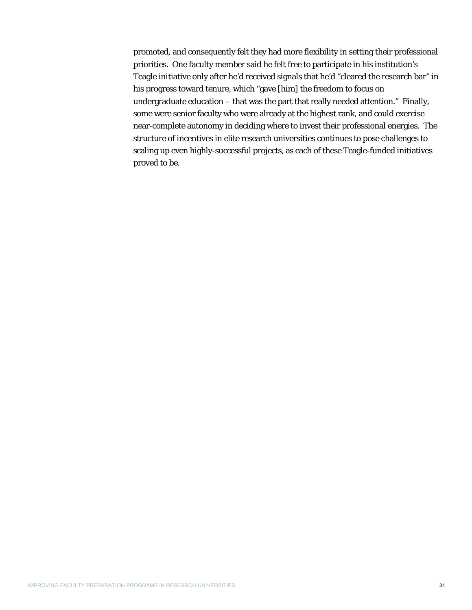promoted, and consequently felt they had more flexibility in setting their professional priorities. One faculty member said he felt free to participate in his institution's Teagle initiative only after he'd received signals that he'd "cleared the research bar" in his progress toward tenure, which "gave [him] the freedom to focus on undergraduate education – that was the part that really needed attention." Finally, some were senior faculty who were already at the highest rank, and could exercise near-complete autonomy in deciding where to invest their professional energies. The structure of incentives in elite research universities continues to pose challenges to scaling up even highly-successful projects, as each of these Teagle-funded initiatives proved to be.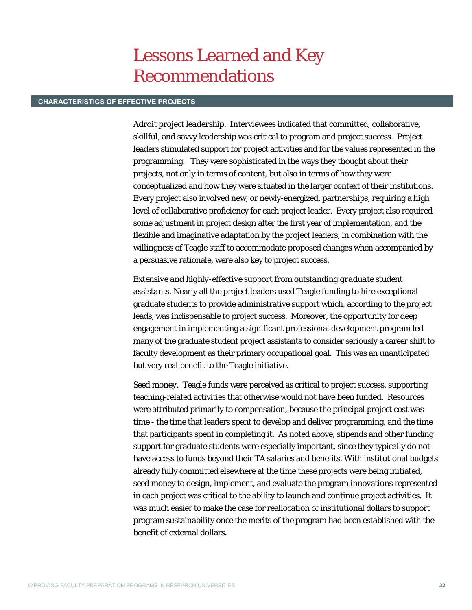# Lessons Learned and Key Recommendations

## **CHARACTERISTICS OF EFFECTIVE PROJECTS**

*Adroit project leadership.* Interviewees indicated that committed, collaborative, skillful, and savvy leadership was critical to program and project success. Project leaders stimulated support for project activities and for the values represented in the programming. They were sophisticated in the ways they thought about their projects, not only in terms of content, but also in terms of how they were conceptualized and how they were situated in the larger context of their institutions. Every project also involved new, or newly-energized, partnerships, requiring a high level of collaborative proficiency for each project leader. Every project also required some adjustment in project design after the first year of implementation, and the flexible and imaginative adaptation by the project leaders, in combination with the willingness of Teagle staff to accommodate proposed changes when accompanied by a persuasive rationale, were also key to project success.

*Extensive and highly-effective support from outstanding graduate student assistants.* Nearly all the project leaders used Teagle funding to hire exceptional graduate students to provide administrative support which, according to the project leads, was indispensable to project success. Moreover, the opportunity for deep engagement in implementing a significant professional development program led many of the graduate student project assistants to consider seriously a career shift to faculty development as their primary occupational goal. This was an unanticipated but very real benefit to the Teagle initiative.

*Seed money.* Teagle funds were perceived as critical to project success, supporting teaching-related activities that otherwise would not have been funded. Resources were attributed primarily to compensation, because the principal project cost was time - the time that leaders spent to develop and deliver programming, and the time that participants spent in completing it. As noted above, stipends and other funding support for graduate students were especially important, since they typically do not have access to funds beyond their TA salaries and benefits. With institutional budgets already fully committed elsewhere at the time these projects were being initiated, seed money to design, implement, and evaluate the program innovations represented in each project was critical to the ability to launch and continue project activities. It was much easier to make the case for reallocation of institutional dollars to support program sustainability once the merits of the program had been established with the benefit of external dollars.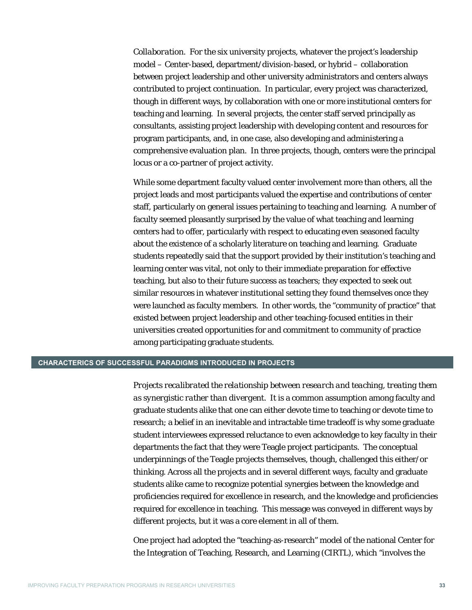*Collaboration.* For the six university projects, whatever the project's leadership model – Center-based, department/division-based, or hybrid – collaboration between project leadership and other university administrators and centers always contributed to project continuation. In particular, every project was characterized, though in different ways, by collaboration with one or more institutional centers for teaching and learning. In several projects, the center staff served principally as consultants, assisting project leadership with developing content and resources for program participants, and, in one case, also developing and administering a comprehensive evaluation plan. In three projects, though, centers were the principal locus or a co-partner of project activity.

While some department faculty valued center involvement more than others, all the project leads and most participants valued the expertise and contributions of center staff, particularly on general issues pertaining to teaching and learning. A number of faculty seemed pleasantly surprised by the value of what teaching and learning centers had to offer, particularly with respect to educating even seasoned faculty about the existence of a scholarly literature on teaching and learning. Graduate students repeatedly said that the support provided by their institution's teaching and learning center was vital, not only to their immediate preparation for effective teaching, but also to their future success as teachers; they expected to seek out similar resources in whatever institutional setting they found themselves once they were launched as faculty members. In other words, the "community of practice" that existed between project leadership and other teaching-focused entities in their universities created opportunities for and commitment to community of practice among participating graduate students.

### **CHARACTERICS OF SUCCESSFUL PARADIGMS INTRODUCED IN PROJECTS**

*Projects recalibrated the relationship between research and teaching, treating them as synergistic rather than divergent.* It is a common assumption among faculty and graduate students alike that one can either devote time to teaching or devote time to research; a belief in an inevitable and intractable time tradeoff is why some graduate student interviewees expressed reluctance to even acknowledge to key faculty in their departments the fact that they were Teagle project participants. The conceptual underpinnings of the Teagle projects themselves, though, challenged this either/or thinking. Across all the projects and in several different ways, faculty and graduate students alike came to recognize potential synergies between the knowledge and proficiencies required for excellence in research, and the knowledge and proficiencies required for excellence in teaching. This message was conveyed in different ways by different projects, but it was a core element in all of them.

One project had adopted the "teaching-as-research" model of the national Center for the Integration of Teaching, Research, and Learning (CIRTL), which "involves the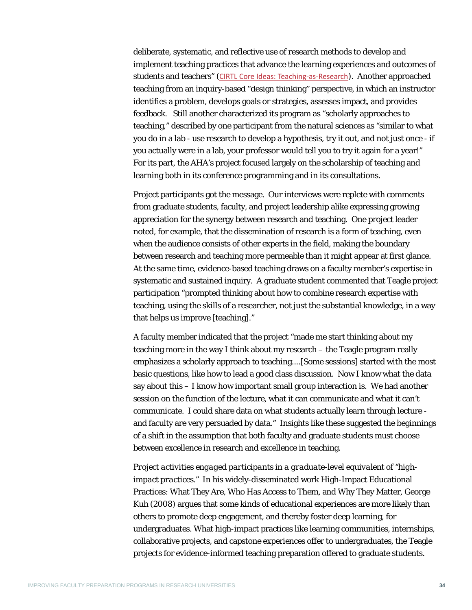deliberate, systematic, and reflective use of research methods to develop and implement teaching practices that advance the learning experiences and outcomes of students and teachers" (CIRTL Core Ideas: Teaching‐as‐[Research](http://gradschool.cornell.edu/sites/gradschool.cornell.edu/files/CIRTL_CoreIdeas.pdf)). Another approached teaching from an inquiry-based "design thinking" perspective, in which an instructor identifies a problem, develops goals or strategies, assesses impact, and provides feedback. Still another characterized its program as "scholarly approaches to teaching," described by one participant from the natural sciences as "similar to what you do in a lab - use research to develop a hypothesis, try it out, and not just once - if you actually were in a lab, your professor would tell you to try it again for a year!" For its part, the AHA's project focused largely on the scholarship of teaching and learning both in its conference programming and in its consultations.

Project participants got the message. Our interviews were replete with comments from graduate students, faculty, and project leadership alike expressing growing appreciation for the synergy between research and teaching. One project leader noted, for example, that the dissemination of research is a form of teaching, even when the audience consists of other experts in the field, making the boundary between research and teaching more permeable than it might appear at first glance. At the same time, evidence-based teaching draws on a faculty member's expertise in systematic and sustained inquiry. A graduate student commented that Teagle project participation "prompted thinking about how to combine research expertise with teaching, using the skills of a researcher, not just the substantial knowledge, in a way that helps us improve [teaching]."

A faculty member indicated that the project "made me start thinking about my teaching more in the way I think about my research – the Teagle program really emphasizes a scholarly approach to teaching....[Some sessions] started with the most basic questions, like how to lead a good class discussion. Now I know what the data say about this – I know how important small group interaction is. We had another session on the function of the lecture, what it can communicate and what it can't communicate. I could share data on what students actually learn through lecture and faculty are very persuaded by data." Insights like these suggested the beginnings of a shift in the assumption that both faculty and graduate students must choose between excellence in research and excellence in teaching.

*Project activities engaged participants in a graduate-level equivalent of "highimpact practices."* In his widely-disseminated work High-Impact Educational Practices: What They Are, Who Has Access to Them, and Why They Matter, George Kuh (2008) argues that some kinds of educational experiences are more likely than others to promote deep engagement, and thereby foster deep learning, for undergraduates. What high-impact practices like learning communities, internships, collaborative projects, and capstone experiences offer to undergraduates, the Teagle projects for evidence-informed teaching preparation offered to graduate students.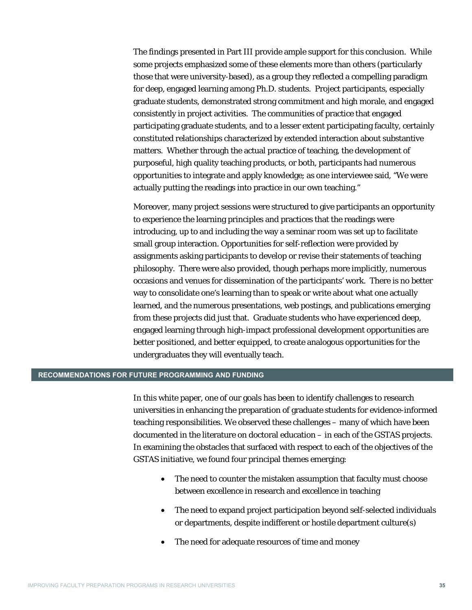The findings presented in Part III provide ample support for this conclusion. While some projects emphasized some of these elements more than others (particularly those that were university-based), as a group they reflected a compelling paradigm for deep, engaged learning among Ph.D. students. Project participants, especially graduate students, demonstrated strong commitment and high morale, and engaged consistently in project activities. The communities of practice that engaged participating graduate students, and to a lesser extent participating faculty, certainly constituted relationships characterized by extended interaction about substantive matters. Whether through the actual practice of teaching, the development of purposeful, high quality teaching products, or both, participants had numerous opportunities to integrate and apply knowledge; as one interviewee said, "We were actually putting the readings into practice in our own teaching."

Moreover, many project sessions were structured to give participants an opportunity to experience the learning principles and practices that the readings were introducing, up to and including the way a seminar room was set up to facilitate small group interaction. Opportunities for self-reflection were provided by assignments asking participants to develop or revise their statements of teaching philosophy. There were also provided, though perhaps more implicitly, numerous occasions and venues for dissemination of the participants' work. There is no better way to consolidate one's learning than to speak or write about what one actually learned, and the numerous presentations, web postings, and publications emerging from these projects did just that. Graduate students who have experienced deep, engaged learning through high-impact professional development opportunities are better positioned, and better equipped, to create analogous opportunities for the undergraduates they will eventually teach.

## **RECOMMENDATIONS FOR FUTURE PROGRAMMING AND FUNDING**

In this white paper, one of our goals has been to identify challenges to research universities in enhancing the preparation of graduate students for evidence-informed teaching responsibilities. We observed these challenges – many of which have been documented in the literature on doctoral education – in each of the GSTAS projects. In examining the obstacles that surfaced with respect to each of the objectives of the GSTAS initiative, we found four principal themes emerging:

- The need to counter the mistaken assumption that faculty must choose between excellence in research and excellence in teaching
- The need to expand project participation beyond self-selected individuals or departments, despite indifferent or hostile department culture(s)
- The need for adequate resources of time and money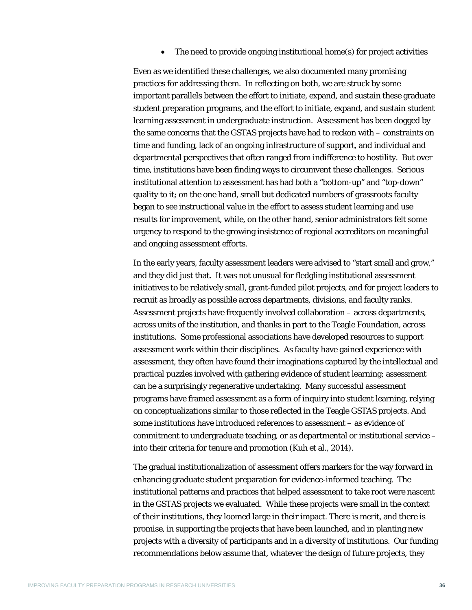The need to provide ongoing institutional home(s) for project activities

Even as we identified these challenges, we also documented many promising practices for addressing them. In reflecting on both, we are struck by some important parallels between the effort to initiate, expand, and sustain these graduate student preparation programs, and the effort to initiate, expand, and sustain student learning assessment in undergraduate instruction. Assessment has been dogged by the same concerns that the GSTAS projects have had to reckon with – constraints on time and funding, lack of an ongoing infrastructure of support, and individual and departmental perspectives that often ranged from indifference to hostility. But over time, institutions have been finding ways to circumvent these challenges. Serious institutional attention to assessment has had both a "bottom-up" and "top-down" quality to it; on the one hand, small but dedicated numbers of grassroots faculty began to see instructional value in the effort to assess student learning and use results for improvement, while, on the other hand, senior administrators felt some urgency to respond to the growing insistence of regional accreditors on meaningful and ongoing assessment efforts.

In the early years, faculty assessment leaders were advised to "start small and grow," and they did just that. It was not unusual for fledgling institutional assessment initiatives to be relatively small, grant-funded pilot projects, and for project leaders to recruit as broadly as possible across departments, divisions, and faculty ranks. Assessment projects have frequently involved collaboration – across departments, across units of the institution, and thanks in part to the Teagle Foundation, across institutions. Some professional associations have developed resources to support assessment work within their disciplines. As faculty have gained experience with assessment, they often have found their imaginations captured by the intellectual and practical puzzles involved with gathering evidence of student learning; assessment can be a surprisingly regenerative undertaking. Many successful assessment programs have framed assessment as a form of inquiry into student learning, relying on conceptualizations similar to those reflected in the Teagle GSTAS projects. And some institutions have introduced references to assessment – as evidence of commitment to undergraduate teaching, or as departmental or institutional service – into their criteria for tenure and promotion (Kuh et al., 2014).

The gradual institutionalization of assessment offers markers for the way forward in enhancing graduate student preparation for evidence-informed teaching. The institutional patterns and practices that helped assessment to take root were nascent in the GSTAS projects we evaluated. While these projects were small in the context of their institutions, they loomed large in their impact. There is merit, and there is promise, in supporting the projects that have been launched, and in planting new projects with a diversity of participants and in a diversity of institutions. Our funding recommendations below assume that, whatever the design of future projects, they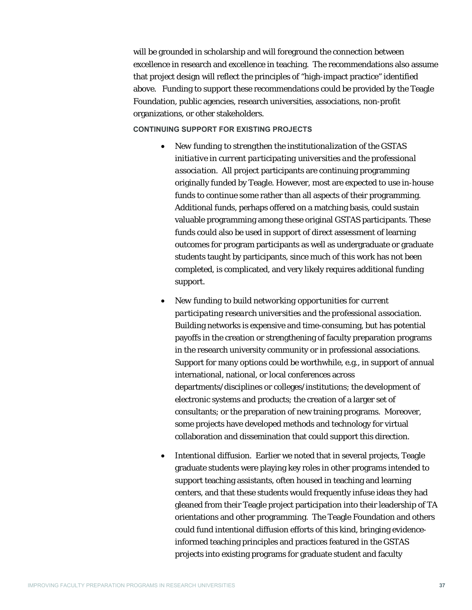will be grounded in scholarship and will foreground the connection between excellence in research and excellence in teaching. The recommendations also assume that project design will reflect the principles of "high-impact practice" identified above. Funding to support these recommendations could be provided by the Teagle Foundation, public agencies, research universities, associations, non-profit organizations, or other stakeholders.

## **CONTINUING SUPPORT FOR EXISTING PROJECTS**

- *New funding to strengthen the institutionalization of the GSTAS initiative in current participating universities and the professional association.* All project participants are continuing programming originally funded by Teagle. However, most are expected to use in-house funds to continue some rather than all aspects of their programming. Additional funds, perhaps offered on a matching basis, could sustain valuable programming among these original GSTAS participants. These funds could also be used in support of direct assessment of learning outcomes for program participants as well as undergraduate or graduate students taught by participants, since much of this work has not been completed, is complicated, and very likely requires additional funding support.
- *New funding to build networking opportunities for current participating research universities and the professional association.* Building networks is expensive and time-consuming, but has potential payoffs in the creation or strengthening of faculty preparation programs in the research university community or in professional associations. Support for many options could be worthwhile, e.g., in support of annual international, national, or local conferences across departments/disciplines or colleges/institutions; the development of electronic systems and products; the creation of a larger set of consultants; or the preparation of new training programs. Moreover, some projects have developed methods and technology for virtual collaboration and dissemination that could support this direction.
- *Intentional diffusion.* Earlier we noted that in several projects, Teagle graduate students were playing key roles in other programs intended to support teaching assistants, often housed in teaching and learning centers, and that these students would frequently infuse ideas they had gleaned from their Teagle project participation into their leadership of TA orientations and other programming. The Teagle Foundation and others could fund intentional diffusion efforts of this kind, bringing evidenceinformed teaching principles and practices featured in the GSTAS projects into existing programs for graduate student and faculty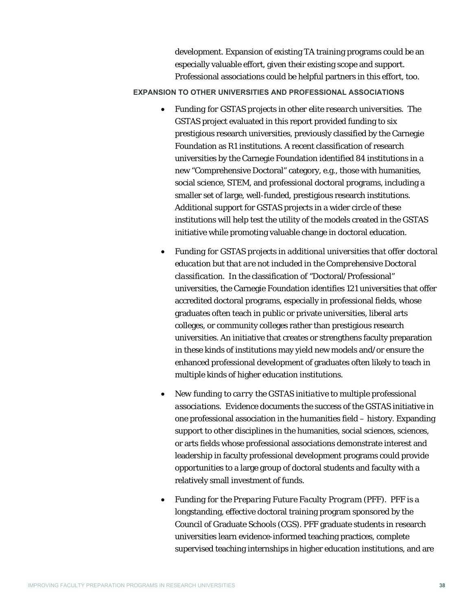development. Expansion of existing TA training programs could be an especially valuable effort, given their existing scope and support. Professional associations could be helpful partners in this effort, too.

## **EXPANSION TO OTHER UNIVERSITIES AND PROFESSIONAL ASSOCIATIONS**

- *Funding for GSTAS projects in other elite research universities.* The GSTAS project evaluated in this report provided funding to six prestigious research universities, previously classified by the Carnegie Foundation as R1 institutions. A recent classification of research universities by the Carnegie Foundation identified 84 institutions in a new "Comprehensive Doctoral" category, e.g., those with humanities, social science, STEM, and professional doctoral programs, including a smaller set of large, well-funded, prestigious research institutions. Additional support for GSTAS projects in a wider circle of these institutions will help test the utility of the models created in the GSTAS initiative while promoting valuable change in doctoral education.
- *Funding for GSTAS projects in additional universities that offer doctoral education but that are not included in the Comprehensive Doctoral classification.* In the classification of "Doctoral/Professional" universities, the Carnegie Foundation identifies 121 universities that offer accredited doctoral programs, especially in professional fields, whose graduates often teach in public or private universities, liberal arts colleges, or community colleges rather than prestigious research universities. An initiative that creates or strengthens faculty preparation in these kinds of institutions may yield new models and/or ensure the enhanced professional development of graduates often likely to teach in multiple kinds of higher education institutions.
- *New funding to carry the GSTAS initiative to multiple professional associations.* Evidence documents the success of the GSTAS initiative in one professional association in the humanities field – history. Expanding support to other disciplines in the humanities, social sciences, sciences, or arts fields whose professional associations demonstrate interest and leadership in faculty professional development programs could provide opportunities to a large group of doctoral students and faculty with a relatively small investment of funds.
- *Funding for the Preparing Future Faculty Program (PFF*). PFF is a longstanding, effective doctoral training program sponsored by the Council of Graduate Schools (CGS). PFF graduate students in research universities learn evidence-informed teaching practices, complete supervised teaching internships in higher education institutions, and are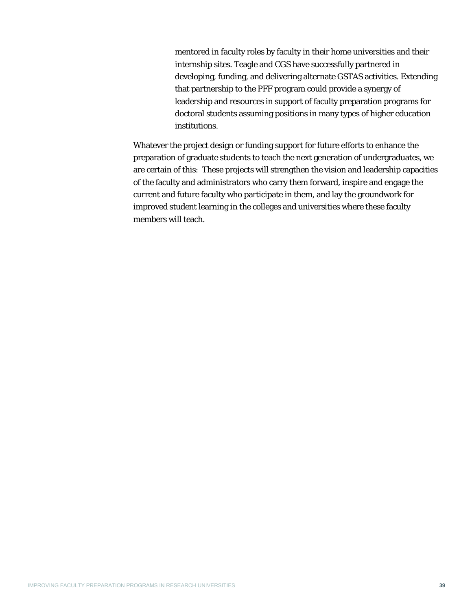mentored in faculty roles by faculty in their home universities and their internship sites. Teagle and CGS have successfully partnered in developing, funding, and delivering alternate GSTAS activities. Extending that partnership to the PFF program could provide a synergy of leadership and resources in support of faculty preparation programs for doctoral students assuming positions in many types of higher education institutions.

Whatever the project design or funding support for future efforts to enhance the preparation of graduate students to teach the next generation of undergraduates, we are certain of this: These projects will strengthen the vision and leadership capacities of the faculty and administrators who carry them forward, inspire and engage the current and future faculty who participate in them, and lay the groundwork for improved student learning in the colleges and universities where these faculty members will teach.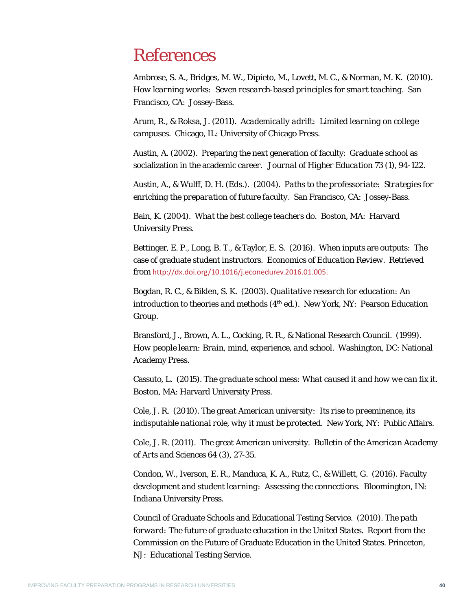## References

Ambrose, S. A., Bridges, M. W., Dipieto, M., Lovett, M. C., & Norman, M. K. (2010). *How learning works: Seven research-based principles for smart teaching*. San Francisco, CA: Jossey-Bass.

Arum, R., & Roksa, J. (2011). *Academically adrift: Limited learning on college campuses.* Chicago, IL: University of Chicago Press.

Austin, A. (2002). Preparing the next generation of faculty: Graduate school as socialization in the academic career. *Journal of Higher Education 73* (1), 94-122.

Austin, A., & Wulff, D. H. (Eds.). (2004). *Paths to the professoriate: Strategies for enriching the preparation of future faculty.* San Francisco, CA: Jossey-Bass.

Bain, K. (2004). *What the best college teachers do*. Boston, MA: Harvard University Press.

Bettinger, E. P., Long, B. T., & Taylor, E. S. (2016). When inputs are outputs: The case of graduate student instructors. *Economics of Education Review*. Retrieved from http://dx.doi.org/10.1016/j.econedurev.2016.01.005.

Bogdan, R. C., & Biklen, S. K. (2003). *Qualitative research for education: An introduction to theories and methods* (4<sup>th</sup> ed.). New York, NY: Pearson Education Group.

Bransford, J., Brown, A. L., Cocking, R. R., & National Research Council. (1999). *How people learn: Brain, mind, experience, and school*. Washington, DC: National Academy Press.

Cassuto, L. (2015). *The graduate school mess: What caused it and how we can fix it.* Boston, MA: Harvard University Press.

Cole, J. R. (2010). *The great American university: Its rise to preeminence, its indisputable national role, why it must be protected.* New York, NY: Public Affairs.

Cole, J. R. (2011). The great American university. *Bulletin of the American Academy of Arts and Sciences 64 (3)*, 27-35.

Condon, W., Iverson, E. R., Manduca, K. A., Rutz, C., & Willett, G. (2016). *Faculty development and student learning: Assessing the connections.* Bloomington, IN: Indiana University Press.

Council of Graduate Schools and Educational Testing Service. (2010). *The path forward: The future of graduate education in the United States.* Report from the Commission on the Future of Graduate Education in the United States. Princeton, NJ: Educational Testing Service.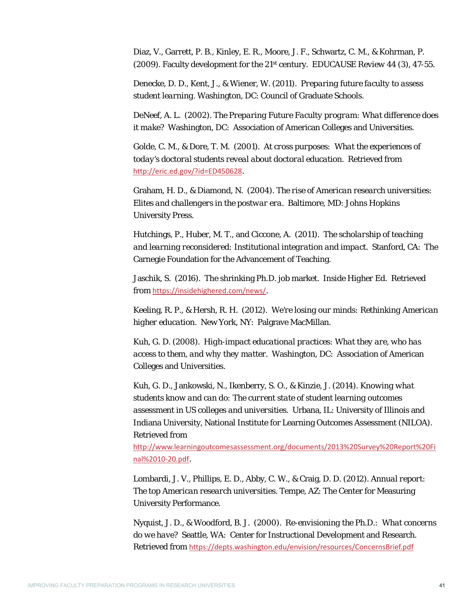Diaz, V., Garrett, P. B., Kinley, E. R., Moore, J. F., Schwartz, C. M., & Kohrman, P. (2009). Faculty development for the 21st century. *EDUCAUSE Review 44* (3), 47-55.

Denecke, D. D., Kent, J., & Wiener, W. (2011). *Preparing future faculty to assess student learning.* Washington, DC: Council of Graduate Schools.

DeNeef, A. L. (2002). *The Preparing Future Faculty program: What difference does it make*? Washington, DC: Association of American Colleges and Universities.

Golde, C. M., & Dore, T. M. (2001). *At cross purposes: What the experiences of today's doctoral students reveal about doctoral education*. Retrieved from http://eric.ed.gov/?id=ED450628.

Graham, H. D., & Diamond, N. (2004). *The rise of American research universities: Elites and challengers in the postwar era.* Baltimore, MD: Johns Hopkins University Press.

Hutchings, P., Huber, M. T., and Ciccone, A. (2011). *The scholarship of teaching and learning reconsidered: Institutional integration and impact.* Stanford, CA: The Carnegie Foundation for the Advancement of Teaching.

Jaschik, S. (2016). The shrinking Ph.D. job market. *Inside Higher Ed*. Retrieved from https://insidehighered.com/news/.

Keeling, R. P., & Hersh, R. H. (2012). *We're losing our minds: Rethinking American higher education*. New York, NY: Palgrave MacMillan.

Kuh, G. D. (2008). *High-impact educational practices: What they are, who has access to them, and why they matter.* Washington, DC: Association of American Colleges and Universities.

Kuh, G. D., Jankowski, N., Ikenberry, S. O., & Kinzie, J. (2014). *Knowing what students know and can do: The current state of student learning outcomes assessment in US colleges and universities.* Urbana, IL: University of Illinois and Indiana University, National Institute for Learning Outcomes Assessment (NILOA). Retrieved from

http://www.learningoutcomesassessment.org/documents/2013%20Survey%20Report%20Fi nal%2010‐20.pdf.

Lombardi, J. V., Phillips, E. D., Abby, C. W., & Craig, D. D. (2012). *Annual report: The top American research universities*. Tempe, AZ: The Center for Measuring University Performance.

Nyquist, J. D., & Woodford, B. J. (2000). *Re-envisioning the Ph.D.: What concerns do we have?* Seattle, WA: Center for Instructional Development and Research. Retrieved from https://depts.washington.edu/envision/resources/ConcernsBrief.pdf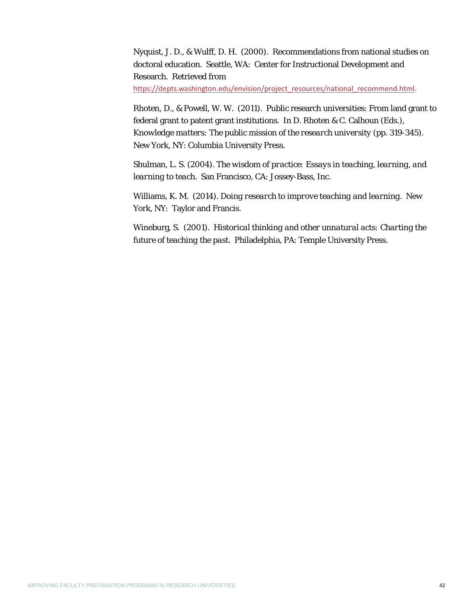Nyquist, J. D., & Wulff, D. H. (2000). Recommendations from national studies on doctoral education*.* Seattle, WA: Center for Instructional Development and Research. Retrieved from

https://depts.washington.edu/envision/project\_resources/national\_recommend.html.

Rhoten, D., & Powell, W. W. (2011). Public research universities: From land grant to federal grant to patent grant institutions. In D. Rhoten & C. Calhoun (Eds.), *Knowledge matters: The public mission of the research university* (pp. 319-345). New York, NY: Columbia University Press.

Shulman, L. S. (2004). *The wisdom of practice: Essays in teaching, learning, and learning to teach.* San Francisco, CA: Jossey-Bass, Inc.

Williams, K. M. (2014). *Doing research to improve teaching and learning*. New York, NY: Taylor and Francis.

Wineburg, S. (2001). *Historical thinking and other unnatural acts: Charting the future of teaching the past*. Philadelphia, PA: Temple University Press.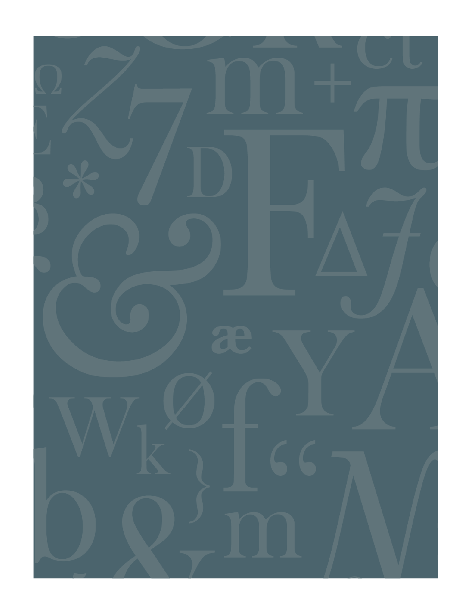